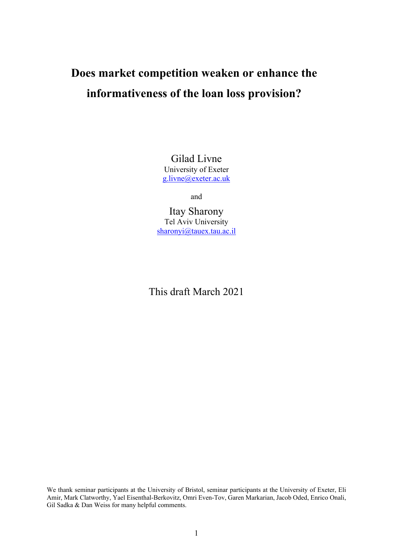# **Does market competition weaken or enhance the informativeness of the loan loss provision?**

Gilad Livne University of Exeter g.livne@exeter.ac.uk

and

Itay Sharony Tel Aviv University sharonyi@tauex.tau.ac.il

This draft March 2021

We thank seminar participants at the University of Bristol, seminar participants at the University of Exeter, Eli Amir, Mark Clatworthy, Yael Eisenthal-Berkovitz, Omri Even-Tov, Garen Markarian, Jacob Oded, Enrico Onali, Gil Sadka & Dan Weiss for many helpful comments.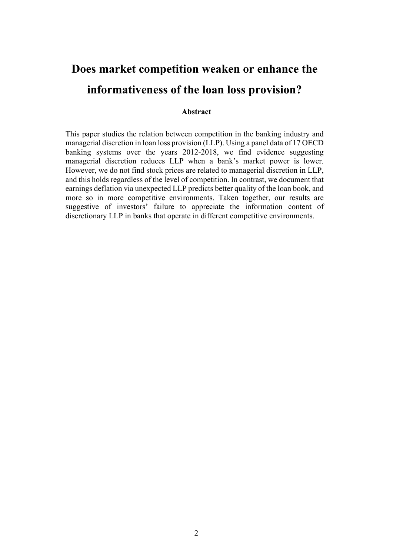## **Does market competition weaken or enhance the informativeness of the loan loss provision?**

## **Abstract**

This paper studies the relation between competition in the banking industry and managerial discretion in loan loss provision (LLP). Using a panel data of 17 OECD banking systems over the years 2012-2018, we find evidence suggesting managerial discretion reduces LLP when a bank's market power is lower. However, we do not find stock prices are related to managerial discretion in LLP, and this holds regardless of the level of competition. In contrast, we document that earnings deflation via unexpected LLP predicts better quality of the loan book, and more so in more competitive environments. Taken together, our results are suggestive of investors' failure to appreciate the information content of discretionary LLP in banks that operate in different competitive environments.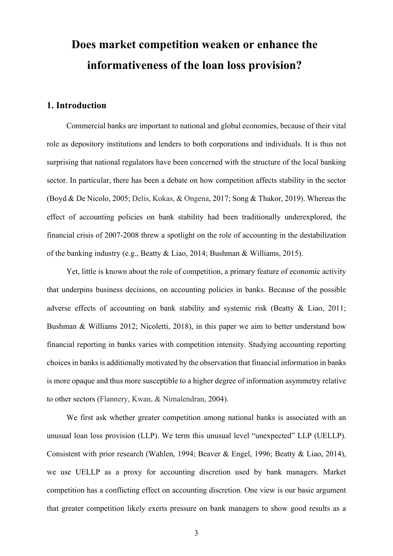## **Does market competition weaken or enhance the informativeness of the loan loss provision?**

## **1. Introduction**

Commercial banks are important to national and global economies, because of their vital role as depository institutions and lenders to both corporations and individuals. It is thus not surprising that national regulators have been concerned with the structure of the local banking sector. In particular, there has been a debate on how competition affects stability in the sector (Boyd & De Nicolo, 2005; Delis, Kokas, & Ongena, 2017; Song & Thakor, 2019). Whereas the effect of accounting policies on bank stability had been traditionally underexplored, the financial crisis of 2007-2008 threw a spotlight on the role of accounting in the destabilization of the banking industry (e.g., Beatty & Liao, 2014; Bushman & Williams, 2015).

Yet, little is known about the role of competition, a primary feature of economic activity that underpins business decisions, on accounting policies in banks. Because of the possible adverse effects of accounting on bank stability and systemic risk (Beatty & Liao, 2011; Bushman & Williams 2012; Nicoletti, 2018), in this paper we aim to better understand how financial reporting in banks varies with competition intensity. Studying accounting reporting choices in banks is additionally motivated by the observation that financial information in banks is more opaque and thus more susceptible to a higher degree of information asymmetry relative to other sectors (Flannery, Kwan, & Nimalendran, 2004).

We first ask whether greater competition among national banks is associated with an unusual loan loss provision (LLP). We term this unusual level "unexpected" LLP (UELLP). Consistent with prior research (Wahlen, 1994; Beaver & Engel, 1996; Beatty & Liao, 2014), we use UELLP as a proxy for accounting discretion used by bank managers. Market competition has a conflicting effect on accounting discretion. One view is our basic argument that greater competition likely exerts pressure on bank managers to show good results as a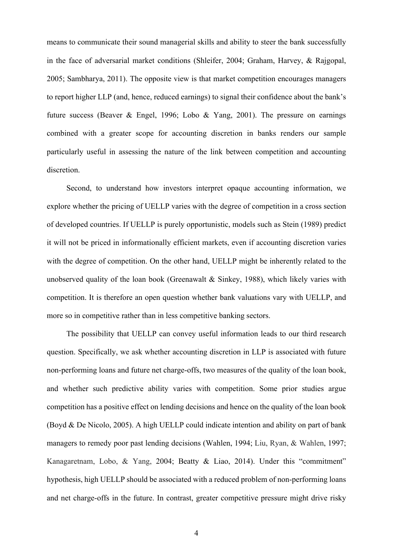means to communicate their sound managerial skills and ability to steer the bank successfully in the face of adversarial market conditions (Shleifer, 2004; Graham, Harvey, & Rajgopal, 2005; Sambharya, 2011). The opposite view is that market competition encourages managers to report higher LLP (and, hence, reduced earnings) to signal their confidence about the bank's future success (Beaver & Engel, 1996; Lobo & Yang, 2001). The pressure on earnings combined with a greater scope for accounting discretion in banks renders our sample particularly useful in assessing the nature of the link between competition and accounting discretion.

Second, to understand how investors interpret opaque accounting information, we explore whether the pricing of UELLP varies with the degree of competition in a cross section of developed countries. If UELLP is purely opportunistic, models such as Stein (1989) predict it will not be priced in informationally efficient markets, even if accounting discretion varies with the degree of competition. On the other hand, UELLP might be inherently related to the unobserved quality of the loan book (Greenawalt & Sinkey, 1988), which likely varies with competition. It is therefore an open question whether bank valuations vary with UELLP, and more so in competitive rather than in less competitive banking sectors.

The possibility that UELLP can convey useful information leads to our third research question. Specifically, we ask whether accounting discretion in LLP is associated with future non-performing loans and future net charge-offs, two measures of the quality of the loan book, and whether such predictive ability varies with competition. Some prior studies argue competition has a positive effect on lending decisions and hence on the quality of the loan book (Boyd & De Nicolo, 2005). A high UELLP could indicate intention and ability on part of bank managers to remedy poor past lending decisions (Wahlen, 1994; Liu, Ryan, & Wahlen, 1997; Kanagaretnam, Lobo, & Yang, 2004; Beatty & Liao, 2014). Under this "commitment" hypothesis, high UELLP should be associated with a reduced problem of non-performing loans and net charge-offs in the future. In contrast, greater competitive pressure might drive risky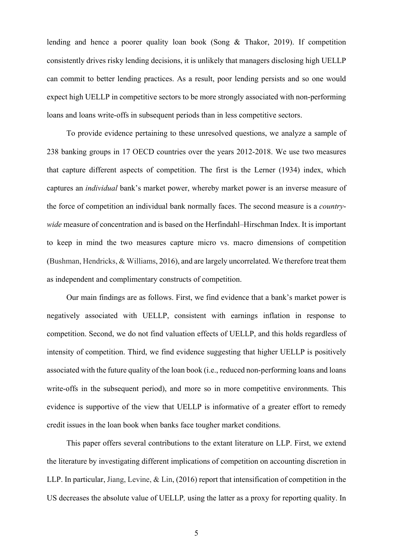lending and hence a poorer quality loan book (Song & Thakor, 2019). If competition consistently drives risky lending decisions, it is unlikely that managers disclosing high UELLP can commit to better lending practices. As a result, poor lending persists and so one would expect high UELLP in competitive sectors to be more strongly associated with non-performing loans and loans write-offs in subsequent periods than in less competitive sectors.

To provide evidence pertaining to these unresolved questions, we analyze a sample of 238 banking groups in 17 OECD countries over the years 2012-2018. We use two measures that capture different aspects of competition. The first is the Lerner (1934) index, which captures an *individual* bank's market power, whereby market power is an inverse measure of the force of competition an individual bank normally faces. The second measure is a *countrywide* measure of concentration and is based on the Herfindahl–Hirschman Index. It is important to keep in mind the two measures capture micro vs. macro dimensions of competition (Bushman, Hendricks, & Williams, 2016), and are largely uncorrelated. We therefore treat them as independent and complimentary constructs of competition.

Our main findings are as follows. First, we find evidence that a bank's market power is negatively associated with UELLP, consistent with earnings inflation in response to competition. Second, we do not find valuation effects of UELLP, and this holds regardless of intensity of competition. Third, we find evidence suggesting that higher UELLP is positively associated with the future quality of the loan book (i.e., reduced non-performing loans and loans write-offs in the subsequent period), and more so in more competitive environments. This evidence is supportive of the view that UELLP is informative of a greater effort to remedy credit issues in the loan book when banks face tougher market conditions.

This paper offers several contributions to the extant literature on LLP. First, we extend the literature by investigating different implications of competition on accounting discretion in LLP. In particular, Jiang, Levine, & Lin, (2016) report that intensification of competition in the US decreases the absolute value of UELLP*,* using the latter as a proxy for reporting quality. In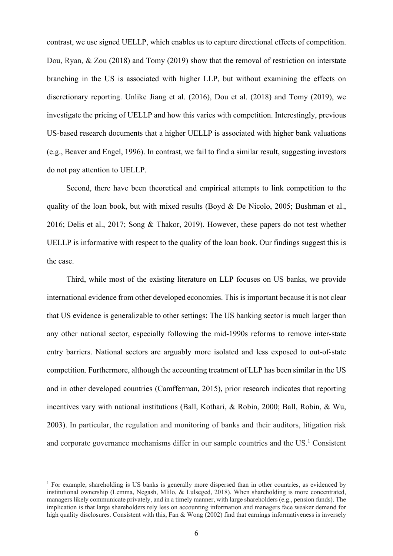contrast, we use signed UELLP, which enables us to capture directional effects of competition. Dou, Ryan, & Zou (2018) and Tomy (2019) show that the removal of restriction on interstate branching in the US is associated with higher LLP, but without examining the effects on discretionary reporting. Unlike Jiang et al. (2016), Dou et al. (2018) and Tomy (2019), we investigate the pricing of UELLP and how this varies with competition. Interestingly, previous US-based research documents that a higher UELLP is associated with higher bank valuations (e.g., Beaver and Engel, 1996). In contrast, we fail to find a similar result, suggesting investors do not pay attention to UELLP.

Second, there have been theoretical and empirical attempts to link competition to the quality of the loan book, but with mixed results (Boyd & De Nicolo, 2005; Bushman et al., 2016; Delis et al., 2017; Song & Thakor, 2019). However, these papers do not test whether UELLP is informative with respect to the quality of the loan book. Our findings suggest this is the case.

Third, while most of the existing literature on LLP focuses on US banks, we provide international evidence from other developed economies. This is important because it is not clear that US evidence is generalizable to other settings: The US banking sector is much larger than any other national sector, especially following the mid-1990s reforms to remove inter-state entry barriers. National sectors are arguably more isolated and less exposed to out-of-state competition. Furthermore, although the accounting treatment of LLP has been similar in the US and in other developed countries (Camfferman, 2015), prior research indicates that reporting incentives vary with national institutions (Ball, Kothari, & Robin, 2000; Ball, Robin, & Wu, 2003). In particular, the regulation and monitoring of banks and their auditors, litigation risk and corporate governance mechanisms differ in our sample countries and the  $US<sup>1</sup>$  Consistent

<sup>&</sup>lt;sup>1</sup> For example, shareholding is US banks is generally more dispersed than in other countries, as evidenced by institutional ownership (Lemma, Negash, Mlilo, & Lulseged, 2018). When shareholding is more concentrated, managers likely communicate privately, and in a timely manner, with large shareholders (e.g., pension funds). The implication is that large shareholders rely less on accounting information and managers face weaker demand for high quality disclosures. Consistent with this, Fan & Wong (2002) find that earnings informativeness is inversely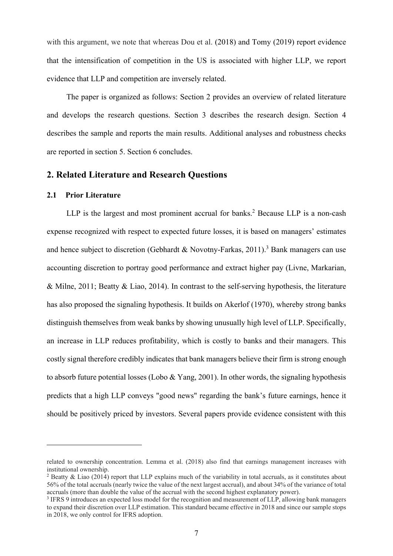with this argument, we note that whereas Dou et al. (2018) and Tomy (2019) report evidence that the intensification of competition in the US is associated with higher LLP, we report evidence that LLP and competition are inversely related.

The paper is organized as follows: Section 2 provides an overview of related literature and develops the research questions. Section 3 describes the research design. Section 4 describes the sample and reports the main results. Additional analyses and robustness checks are reported in section 5. Section 6 concludes.

## **2. Related Literature and Research Questions**

## **2.1 Prior Literature**

LLP is the largest and most prominent accrual for banks.<sup>2</sup> Because LLP is a non-cash expense recognized with respect to expected future losses, it is based on managers' estimates and hence subject to discretion (Gebhardt & Novotny-Farkas, 2011).<sup>3</sup> Bank managers can use accounting discretion to portray good performance and extract higher pay (Livne, Markarian, & Milne, 2011; Beatty & Liao, 2014). In contrast to the self-serving hypothesis, the literature has also proposed the signaling hypothesis. It builds on Akerlof (1970), whereby strong banks distinguish themselves from weak banks by showing unusually high level of LLP. Specifically, an increase in LLP reduces profitability, which is costly to banks and their managers. This costly signal therefore credibly indicates that bank managers believe their firm is strong enough to absorb future potential losses (Lobo & Yang, 2001). In other words, the signaling hypothesis predicts that a high LLP conveys "good news" regarding the bank's future earnings, hence it should be positively priced by investors. Several papers provide evidence consistent with this

related to ownership concentration. Lemma et al. (2018) also find that earnings management increases with institutional ownership.

<sup>&</sup>lt;sup>2</sup> Beatty & Liao (2014) report that LLP explains much of the variability in total accruals, as it constitutes about 56% of the total accruals (nearly twice the value of the next largest accrual), and about 34% of the variance of total accruals (more than double the value of the accrual with the second highest explanatory power).

<sup>3</sup> IFRS 9 introduces an expected loss model for the recognition and measurement of LLP, allowing bank managers to expand their discretion over LLP estimation. This standard became effective in 2018 and since our sample stops in 2018, we only control for IFRS adoption.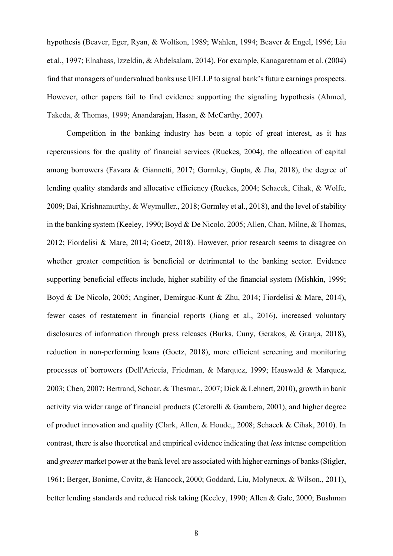hypothesis (Beaver, Eger, Ryan, & Wolfson, 1989; Wahlen, 1994; Beaver & Engel, 1996; Liu et al., 1997; Elnahass, Izzeldin, & Abdelsalam, 2014). For example, Kanagaretnam et al. (2004) find that managers of undervalued banks use UELLP to signal bank's future earnings prospects. However, other papers fail to find evidence supporting the signaling hypothesis (Ahmed, Takeda, & Thomas, 1999; Anandarajan, Hasan, & McCarthy, 2007).

Competition in the banking industry has been a topic of great interest, as it has repercussions for the quality of financial services (Ruckes, 2004), the allocation of capital among borrowers (Favara & Giannetti, 2017; Gormley, Gupta, & Jha, 2018), the degree of lending quality standards and allocative efficiency (Ruckes, 2004; Schaeck, Cihak, & Wolfe, 2009; Bai, Krishnamurthy, & Weymuller., 2018; Gormley et al., 2018), and the level of stability in the banking system (Keeley, 1990; Boyd & De Nicolo, 2005; Allen, Chan, Milne, & Thomas, 2012; Fiordelisi & Mare, 2014; Goetz, 2018). However, prior research seems to disagree on whether greater competition is beneficial or detrimental to the banking sector. Evidence supporting beneficial effects include, higher stability of the financial system (Mishkin, 1999; Boyd & De Nicolo, 2005; Anginer, Demirguc-Kunt & Zhu, 2014; Fiordelisi & Mare, 2014), fewer cases of restatement in financial reports (Jiang et al., 2016), increased voluntary disclosures of information through press releases (Burks, Cuny, Gerakos, & Granja, 2018), reduction in non-performing loans (Goetz, 2018), more efficient screening and monitoring processes of borrowers (Dell'Ariccia, Friedman, & Marquez, 1999; Hauswald & Marquez, 2003; Chen, 2007; Bertrand, Schoar, & Thesmar., 2007; Dick & Lehnert, 2010), growth in bank activity via wider range of financial products (Cetorelli & Gambera, 2001), and higher degree of product innovation and quality (Clark, Allen, & Houde,, 2008; Schaeck & Cihak, 2010). In contrast, there is also theoretical and empirical evidence indicating that *less* intense competition and *greater* market power at the bank level are associated with higher earnings of banks (Stigler, 1961; Berger, Bonime, Covitz, & Hancock, 2000; Goddard, Liu, Molyneux, & Wilson., 2011), better lending standards and reduced risk taking (Keeley, 1990; Allen & Gale, 2000; Bushman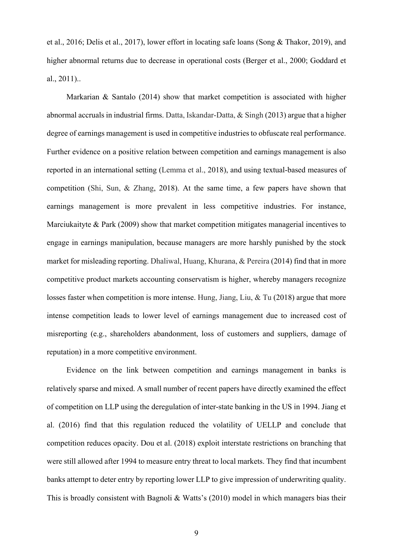et al., 2016; Delis et al., 2017), lower effort in locating safe loans (Song & Thakor, 2019), and higher abnormal returns due to decrease in operational costs (Berger et al., 2000; Goddard et al., 2011)..

Markarian & Santalo (2014) show that market competition is associated with higher abnormal accruals in industrial firms. Datta, Iskandar-Datta, & Singh (2013) argue that a higher degree of earnings management is used in competitive industries to obfuscate real performance. Further evidence on a positive relation between competition and earnings management is also reported in an international setting (Lemma et al., 2018), and using textual-based measures of competition (Shi, Sun, & Zhang, 2018). At the same time, a few papers have shown that earnings management is more prevalent in less competitive industries. For instance, Marciukaityte & Park (2009) show that market competition mitigates managerial incentives to engage in earnings manipulation, because managers are more harshly punished by the stock market for misleading reporting. Dhaliwal, Huang, Khurana, & Pereira (2014) find that in more competitive product markets accounting conservatism is higher, whereby managers recognize losses faster when competition is more intense. Hung, Jiang, Liu, & Tu (2018) argue that more intense competition leads to lower level of earnings management due to increased cost of misreporting (e.g., shareholders abandonment, loss of customers and suppliers, damage of reputation) in a more competitive environment.

Evidence on the link between competition and earnings management in banks is relatively sparse and mixed. A small number of recent papers have directly examined the effect of competition on LLP using the deregulation of inter-state banking in the US in 1994. Jiang et al. (2016) find that this regulation reduced the volatility of UELLP and conclude that competition reduces opacity. Dou et al. (2018) exploit interstate restrictions on branching that were still allowed after 1994 to measure entry threat to local markets. They find that incumbent banks attempt to deter entry by reporting lower LLP to give impression of underwriting quality. This is broadly consistent with Bagnoli & Watts's (2010) model in which managers bias their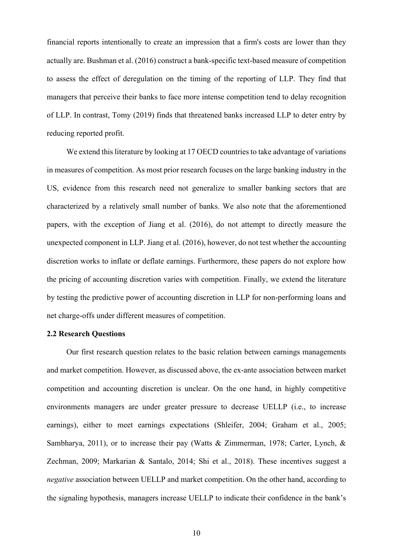financial reports intentionally to create an impression that a firm's costs are lower than they actually are. Bushman et al. (2016) construct a bank-specific text-based measure of competition to assess the effect of deregulation on the timing of the reporting of LLP. They find that managers that perceive their banks to face more intense competition tend to delay recognition of LLP. In contrast, Tomy (2019) finds that threatened banks increased LLP to deter entry by reducing reported profit.

We extend this literature by looking at 17 OECD countries to take advantage of variations in measures of competition. As most prior research focuses on the large banking industry in the US, evidence from this research need not generalize to smaller banking sectors that are characterized by a relatively small number of banks. We also note that the aforementioned papers, with the exception of Jiang et al. (2016), do not attempt to directly measure the unexpected component in LLP. Jiang et al. (2016), however, do not test whether the accounting discretion works to inflate or deflate earnings. Furthermore, these papers do not explore how the pricing of accounting discretion varies with competition. Finally, we extend the literature by testing the predictive power of accounting discretion in LLP for non-performing loans and net charge-offs under different measures of competition.

#### **2.2 Research Questions**

Our first research question relates to the basic relation between earnings managements and market competition. However, as discussed above, the ex-ante association between market competition and accounting discretion is unclear. On the one hand, in highly competitive environments managers are under greater pressure to decrease UELLP (i.e., to increase earnings), either to meet earnings expectations (Shleifer, 2004; Graham et al., 2005; Sambharya, 2011), or to increase their pay (Watts & Zimmerman, 1978; Carter, Lynch, & Zechman, 2009; Markarian & Santalo, 2014; Shi et al., 2018). These incentives suggest a *negative* association between UELLP and market competition. On the other hand, according to the signaling hypothesis, managers increase UELLP to indicate their confidence in the bank's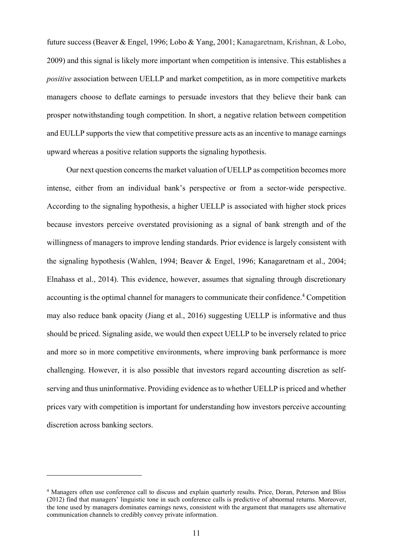future success (Beaver & Engel, 1996; Lobo & Yang, 2001; Kanagaretnam, Krishnan, & Lobo, 2009) and this signal is likely more important when competition is intensive. This establishes a *positive* association between UELLP and market competition, as in more competitive markets managers choose to deflate earnings to persuade investors that they believe their bank can prosper notwithstanding tough competition. In short, a negative relation between competition and EULLP supports the view that competitive pressure acts as an incentive to manage earnings upward whereas a positive relation supports the signaling hypothesis.

Our next question concerns the market valuation of UELLP as competition becomes more intense, either from an individual bank's perspective or from a sector-wide perspective. According to the signaling hypothesis, a higher UELLP is associated with higher stock prices because investors perceive overstated provisioning as a signal of bank strength and of the willingness of managers to improve lending standards. Prior evidence is largely consistent with the signaling hypothesis (Wahlen, 1994; Beaver & Engel, 1996; Kanagaretnam et al., 2004; Elnahass et al., 2014). This evidence, however, assumes that signaling through discretionary accounting is the optimal channel for managers to communicate their confidence.<sup>4</sup> Competition may also reduce bank opacity (Jiang et al., 2016) suggesting UELLP is informative and thus should be priced. Signaling aside, we would then expect UELLP to be inversely related to price and more so in more competitive environments, where improving bank performance is more challenging. However, it is also possible that investors regard accounting discretion as selfserving and thus uninformative. Providing evidence as to whether UELLP is priced and whether prices vary with competition is important for understanding how investors perceive accounting discretion across banking sectors.

<sup>4</sup> Managers often use conference call to discuss and explain quarterly results. Price, Doran, Peterson and Bliss (2012) find that managers' linguistic tone in such conference calls is predictive of abnormal returns. Moreover, the tone used by managers dominates earnings news, consistent with the argument that managers use alternative communication channels to credibly convey private information.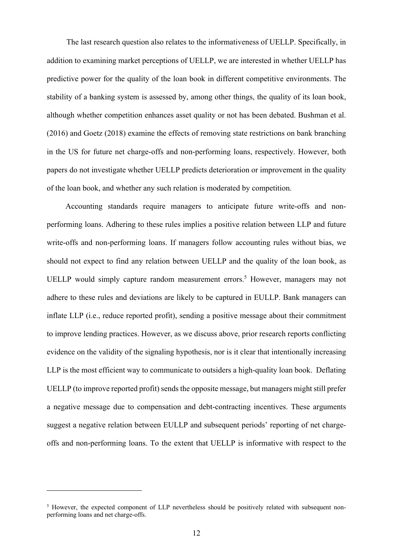The last research question also relates to the informativeness of UELLP. Specifically, in addition to examining market perceptions of UELLP, we are interested in whether UELLP has predictive power for the quality of the loan book in different competitive environments. The stability of a banking system is assessed by, among other things, the quality of its loan book, although whether competition enhances asset quality or not has been debated. Bushman et al. (2016) and Goetz (2018) examine the effects of removing state restrictions on bank branching in the US for future net charge-offs and non-performing loans, respectively. However, both papers do not investigate whether UELLP predicts deterioration or improvement in the quality of the loan book, and whether any such relation is moderated by competition.

Accounting standards require managers to anticipate future write-offs and nonperforming loans. Adhering to these rules implies a positive relation between LLP and future write-offs and non-performing loans. If managers follow accounting rules without bias, we should not expect to find any relation between UELLP and the quality of the loan book, as UELLP would simply capture random measurement errors.<sup>5</sup> However, managers may not adhere to these rules and deviations are likely to be captured in EULLP. Bank managers can inflate LLP (i.e., reduce reported profit), sending a positive message about their commitment to improve lending practices. However, as we discuss above, prior research reports conflicting evidence on the validity of the signaling hypothesis, nor is it clear that intentionally increasing LLP is the most efficient way to communicate to outsiders a high-quality loan book. Deflating UELLP (to improve reported profit) sends the opposite message, but managers might still prefer a negative message due to compensation and debt-contracting incentives. These arguments suggest a negative relation between EULLP and subsequent periods' reporting of net chargeoffs and non-performing loans. To the extent that UELLP is informative with respect to the

<sup>&</sup>lt;sup>5</sup> However, the expected component of LLP nevertheless should be positively related with subsequent nonperforming loans and net charge-offs.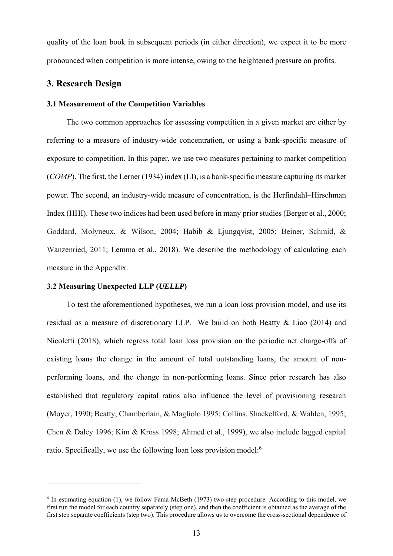quality of the loan book in subsequent periods (in either direction), we expect it to be more pronounced when competition is more intense, owing to the heightened pressure on profits.

## **3. Research Design**

#### **3.1 Measurement of the Competition Variables**

The two common approaches for assessing competition in a given market are either by referring to a measure of industry-wide concentration, or using a bank-specific measure of exposure to competition. In this paper, we use two measures pertaining to market competition (*COMP*). The first, the Lerner (1934) index (LI), is a bank-specific measure capturing its market power. The second, an industry-wide measure of concentration, is the Herfindahl–Hirschman Index (HHI). These two indices had been used before in many prior studies (Berger et al., 2000; Goddard, Molyneux, & Wilson, 2004; Habib & Ljungqvist, 2005; Beiner, Schmid, & Wanzenried, 2011; Lemma et al., 2018). We describe the methodology of calculating each measure in the Appendix.

## **3.2 Measuring Unexpected LLP (***UELLP***)**

To test the aforementioned hypotheses, we run a loan loss provision model, and use its residual as a measure of discretionary LLP. We build on both Beatty & Liao (2014) and Nicoletti (2018), which regress total loan loss provision on the periodic net charge-offs of existing loans the change in the amount of total outstanding loans, the amount of nonperforming loans, and the change in non-performing loans. Since prior research has also established that regulatory capital ratios also influence the level of provisioning research (Moyer, 1990; Beatty, Chamberlain, & Magliolo 1995; Collins, Shackelford, & Wahlen, 1995; Chen & Daley 1996; Kim & Kross 1998; Ahmed et al., 1999), we also include lagged capital ratio. Specifically, we use the following loan loss provision model:<sup>6</sup>

<sup>&</sup>lt;sup>6</sup> In estimating equation (1), we follow Fama-McBeth (1973) two-step procedure. According to this model, we first run the model for each country separately (step one), and then the coefficient is obtained as the average of the first step separate coefficients (step two). This procedure allows us to overcome the cross-sectional dependence of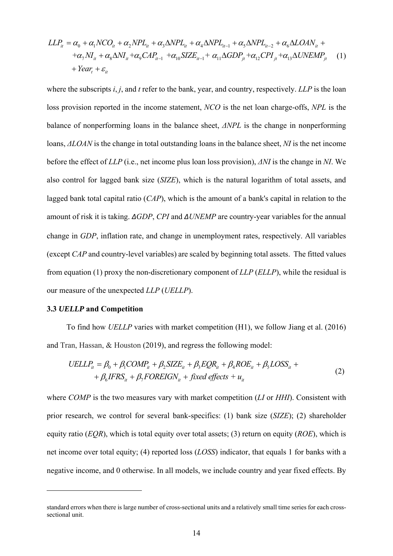$$
LLP_{it} = \alpha_0 + \alpha_1 NCO_{it} + \alpha_2 NPL_{it} + \alpha_3 \Delta NPL_{it} + \alpha_4 \Delta NPL_{it-1} + \alpha_5 \Delta NPL_{it-2} + \alpha_6 \Delta LOAN_{it} +
$$
  
+ $\alpha_7 NI_{it} + \alpha_8 \Delta NI_{it} + \alpha_9 CAP_{it-1} + \alpha_{10} SIZE_{it-1} + \alpha_{11} \Delta GDP_{jt} + \alpha_{12} CPI_{jt} + \alpha_{13} \Delta UNEMP_{jt}$  (1)  
+*Year<sub>t</sub>* +  $\varepsilon_{it}$ 

where the subscripts *i*, *j*, and *t* refer to the bank, year, and country, respectively. *LLP* is the loan loss provision reported in the income statement, *NCO* is the net loan charge-offs, *NPL* is the balance of nonperforming loans in the balance sheet, *ΔNPL* is the change in nonperforming loans, *ΔLOAN* is the change in total outstanding loans in the balance sheet, *NI* is the net income before the effect of *LLP* (i.e., net income plus loan loss provision), *ΔNI* is the change in *NI*. We also control for lagged bank size (*SIZE*), which is the natural logarithm of total assets, and lagged bank total capital ratio (*CAP*), which is the amount of a bank's capital in relation to the amount of risk it is taking. *ΔGDP*, *CPI* and *ΔUNEMP* are country-year variables for the annual change in *GDP*, inflation rate, and change in unemployment rates, respectively. All variables (except *CAP* and country-level variables) are scaled by beginning total assets. The fitted values from equation (1) proxy the non-discretionary component of *LLP* (*ELLP*), while the residual is our measure of the unexpected *LLP* (*UELLP*).

#### **3.3** *UELLP* **and Competition**

To find how *UELLP* varies with market competition (H1), we follow Jiang et al. (2016) and Tran, Hassan, & Houston (2019), and regress the following model:

$$
UELLP_{it} = \beta_0 + \beta_1 COMP_{it} + \beta_2 SIZE_{it} + \beta_3 EQR_{it} + \beta_4 ROE_{it} + \beta_5 LOSS_{it} ++ \beta_6 IFRS_{it} + \beta_7 FOREIGN_{it} + fixed effects + u_{it}
$$
\n(2)

where *COMP* is the two measures vary with market competition (*LI* or *HHI*). Consistent with prior research, we control for several bank-specifics: (1) bank size (*SIZE*); (2) shareholder equity ratio (*EQR*), which is total equity over total assets; (3) return on equity (*ROE*), which is net income over total equity; (4) reported loss (*LOSS*) indicator, that equals 1 for banks with a negative income, and 0 otherwise. In all models, we include country and year fixed effects. By

standard errors when there is large number of cross-sectional units and a relatively small time series for each crosssectional unit.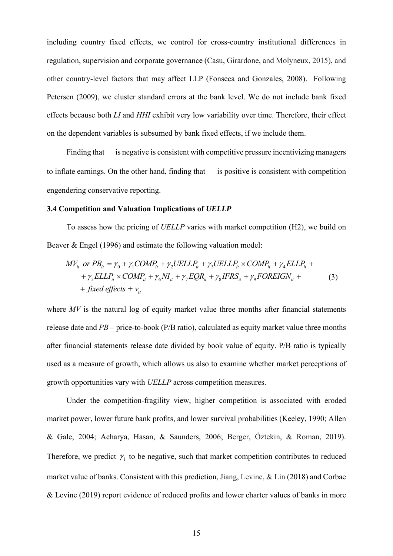including country fixed effects, we control for cross-country institutional differences in regulation, supervision and corporate governance (Casu, Girardone, and Molyneux, 2015), and other country-level factors that may affect LLP (Fonseca and Gonzales, 2008). Following Petersen (2009), we cluster standard errors at the bank level. We do not include bank fixed effects because both *LI* and *HHI* exhibit very low variability over time. Therefore, their effect on the dependent variables is subsumed by bank fixed effects, if we include them.

Finding that is negative is consistent with competitive pressure incentivizing managers to inflate earnings. On the other hand, finding that is positive is consistent with competition engendering conservative reporting.

#### **3.4 Competition and Valuation Implications of** *UELLP*

To assess how the pricing of *UELLP* varies with market competition (H2), we build on Beaver & Engel (1996) and estimate the following valuation model:

$$
MV_{it} \text{ or } PB_{it} = \gamma_0 + \gamma_1 COMP_{it} + \gamma_2 UELLP_{it} + \gamma_3 UELLP_{it} \times COMP_{it} + \gamma_4 ELLP_{it} +
$$
  
+  $\gamma_5 ELLP_{it} \times COMP_{it} + \gamma_6 NI_{it} + \gamma_7 EQR_{it} + \gamma_8 IFRS_{it} + \gamma_9 FOREIGN_{it} +$   
+ *fixed effects* +  $v_{it}$  (3)

where *MV* is the natural log of equity market value three months after financial statements release date and *PB* – price-to-book (P/B ratio), calculated as equity market value three months after financial statements release date divided by book value of equity. P/B ratio is typically used as a measure of growth, which allows us also to examine whether market perceptions of growth opportunities vary with *UELLP* across competition measures.

Under the competition-fragility view, higher competition is associated with eroded market power, lower future bank profits, and lower survival probabilities (Keeley, 1990; Allen & Gale, 2004; Acharya, Hasan, & Saunders, 2006; Berger, Öztekin, & Roman, 2019). Therefore, we predict  $\gamma_1$  to be negative, such that market competition contributes to reduced market value of banks. Consistent with this prediction, Jiang, Levine, & Lin (2018) and Corbae & Levine (2019) report evidence of reduced profits and lower charter values of banks in more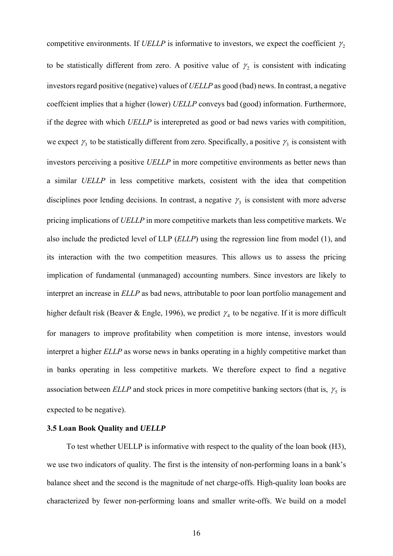competitive environments. If *UELLP* is informative to investors, we expect the coefficient  $\gamma_2$ to be statistically different from zero. A positive value of  $\gamma_2$  is consistent with indicating investors regard positive (negative) values of *UELLP* as good (bad) news. In contrast, a negative coeffcient implies that a higher (lower) *UELLP* conveys bad (good) information. Furthermore, if the degree with which *UELLP* is interepreted as good or bad news varies with compitition, we expect  $\gamma_3$  to be statistically different from zero. Specifically, a positive  $\gamma_3$  is consistent with investors perceiving a positive *UELLP* in more competitive environments as better news than a similar *UELLP* in less competitive markets, cosistent with the idea that competition disciplines poor lending decisions. In contrast, a negative  $\gamma_3$  is consistent with more adverse pricing implications of *UELLP* in more competitive markets than less competitive markets. We also include the predicted level of LLP (*ELLP*) using the regression line from model (1), and its interaction with the two competition measures. This allows us to assess the pricing implication of fundamental (unmanaged) accounting numbers. Since investors are likely to interpret an increase in *ELLP* as bad news, attributable to poor loan portfolio management and higher default risk (Beaver & Engle, 1996), we predict  $\gamma_4$  to be negative. If it is more difficult for managers to improve profitability when competition is more intense, investors would interpret a higher *ELLP* as worse news in banks operating in a highly competitive market than in banks operating in less competitive markets. We therefore expect to find a negative association between  $ELLP$  and stock prices in more competitive banking sectors (that is,  $\gamma_5$  is expected to be negative).

#### **3.5 Loan Book Quality and** *UELLP*

To test whether UELLP is informative with respect to the quality of the loan book (H3), we use two indicators of quality. The first is the intensity of non-performing loans in a bank's balance sheet and the second is the magnitude of net charge-offs. High-quality loan books are characterized by fewer non-performing loans and smaller write-offs. We build on a model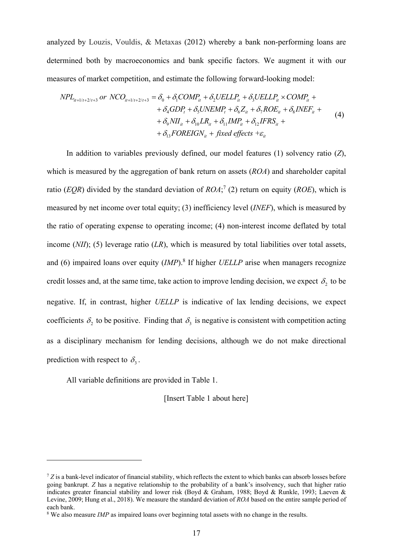analyzed by Louzis, Vouldis, & Metaxas (2012) whereby a bank non-performing loans are determined both by macroeconomics and bank specific factors. We augment it with our measures of market competition, and estimate the following forward-looking model:

$$
NPL_{i_{t+1/t+2/t+3}} \text{ or } NCO_{i_{t+1/t+2/t+3}} = \delta_0 + \delta_1 COMP_{it} + \delta_2 UELLP_{it} + \delta_3 UELLP_{it} \times COMP_{it} + + \delta_4 GDP_t + \delta_5 UNEMP_t + \delta_6 Z_{it} + \delta_7 ROE_{it} + \delta_8 INEF_{it} + + \delta_9 NI_{it} + \delta_{10} LR_{it} + \delta_{11} IMP_{it} + \delta_{12} IFRS_{it} + + \delta_{13} FOREIGN_{it} + fixed effects + \varepsilon_{it}
$$
\n(4)

In addition to variables previously defined, our model features (1) solvency ratio (*Z*), which is measured by the aggregation of bank return on assets (*ROA*) and shareholder capital ratio (*EQR*) divided by the standard deviation of  $ROA$ ; (2) return on equity (*ROE*), which is measured by net income over total equity; (3) inefficiency level (*INEF*), which is measured by the ratio of operating expense to operating income; (4) non-interest income deflated by total income (*NII*); (5) leverage ratio (*LR*), which is measured by total liabilities over total assets, and (6) impaired loans over equity (*IMP*).<sup>8</sup> If higher *UELLP* arise when managers recognize credit losses and, at the same time, take action to improve lending decision, we expect  $\delta_2$  to be negative. If, in contrast, higher *UELLP* is indicative of lax lending decisions, we expect coefficients  $\delta$ , to be positive. Finding that  $\delta$ , is negative is consistent with competition acting as a disciplinary mechanism for lending decisions, although we do not make directional prediction with respect to  $\delta_3$ .

All variable definitions are provided in Table 1.

[Insert Table 1 about here]

<sup>&</sup>lt;sup>7</sup> Z is a bank-level indicator of financial stability, which reflects the extent to which banks can absorb losses before going bankrupt. *Z* has a negative relationship to the probability of a bank's insolvency, such that higher ratio indicates greater financial stability and lower risk (Boyd & Graham, 1988; Boyd & Runkle, 1993; Laeven & Levine, 2009; Hung et al., 2018). We measure the standard deviation of *ROA* based on the entire sample period of each bank.

<sup>&</sup>lt;sup>8</sup> We also measure *IMP* as impaired loans over beginning total assets with no change in the results.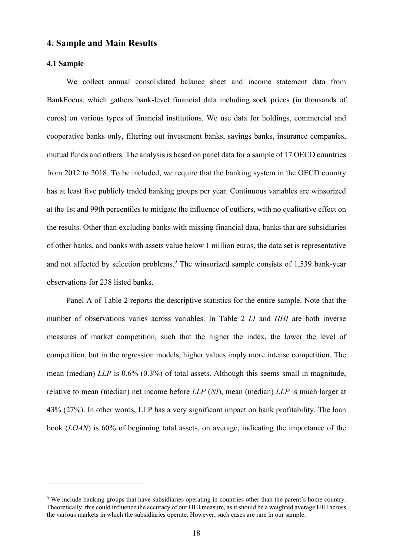## **4. Sample and Main Results**

## **4.1 Sample**

We collect annual consolidated balance sheet and income statement data from BankFocus, which gathers bank-level financial data including sock prices (in thousands of euros) on various types of financial institutions. We use data for holdings, commercial and cooperative banks only, filtering out investment banks, savings banks, insurance companies, mutual funds and others. The analysis is based on panel data for a sample of 17 OECD countries from 2012 to 2018. To be included, we require that the banking system in the OECD country has at least five publicly traded banking groups per year. Continuous variables are winsorized at the 1st and 99th percentiles to mitigate the influence of outliers, with no qualitative effect on the results. Other than excluding banks with missing financial data, banks that are subsidiaries of other banks, and banks with assets value below 1 million euros, the data set is representative and not affected by selection problems.<sup>9</sup> The winsorized sample consists of 1,539 bank-year observations for 238 listed banks.

Panel A of Table 2 reports the descriptive statistics for the entire sample. Note that the number of observations varies across variables. In Table 2 *LI* and *HHI* are both inverse measures of market competition, such that the higher the index, the lower the level of competition, but in the regression models, higher values imply more intense competition. The mean (median) *LLP* is 0.6% (0.3%) of total assets. Although this seems small in magnitude, relative to mean (median) net income before *LLP* (*NI*), mean (median) *LLP* is much larger at 43% (27%). In other words, LLP has a very significant impact on bank profitability. The loan book (*LOAN*) is 60% of beginning total assets, on average, indicating the importance of the

<sup>&</sup>lt;sup>9</sup> We include banking groups that have subsidiaries operating in countries other than the parent's home country. Theoretically, this could influence the accuracy of our HHI measure, as it should be a weighted average HHI across the various markets in which the subsidiaries operate. However, such cases are rare in our sample.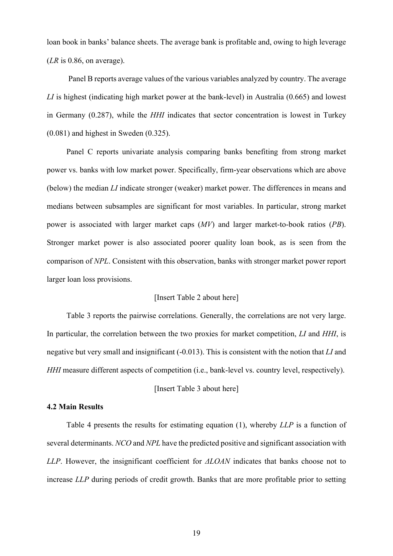loan book in banks' balance sheets. The average bank is profitable and, owing to high leverage (*LR* is 0.86, on average).

 Panel B reports average values of the various variables analyzed by country. The average *LI* is highest (indicating high market power at the bank-level) in Australia (0.665) and lowest in Germany (0.287), while the *HHI* indicates that sector concentration is lowest in Turkey (0.081) and highest in Sweden (0.325).

Panel C reports univariate analysis comparing banks benefiting from strong market power vs. banks with low market power. Specifically, firm-year observations which are above (below) the median *LI* indicate stronger (weaker) market power. The differences in means and medians between subsamples are significant for most variables. In particular, strong market power is associated with larger market caps (*MV*) and larger market-to-book ratios (*PB*). Stronger market power is also associated poorer quality loan book, as is seen from the comparison of *NPL*. Consistent with this observation, banks with stronger market power report larger loan loss provisions.

### [Insert Table 2 about here]

Table 3 reports the pairwise correlations. Generally, the correlations are not very large. In particular, the correlation between the two proxies for market competition, *LI* and *HHI*, is negative but very small and insignificant (-0.013). This is consistent with the notion that *LI* and *HHI* measure different aspects of competition (i.e., bank-level vs. country level, respectively).

[Insert Table 3 about here]

### **4.2 Main Results**

Table 4 presents the results for estimating equation (1), whereby *LLP* is a function of several determinants. *NCO* and *NPL* have the predicted positive and significant association with *LLP*. However, the insignificant coefficient for *ΔLOAN* indicates that banks choose not to increase *LLP* during periods of credit growth. Banks that are more profitable prior to setting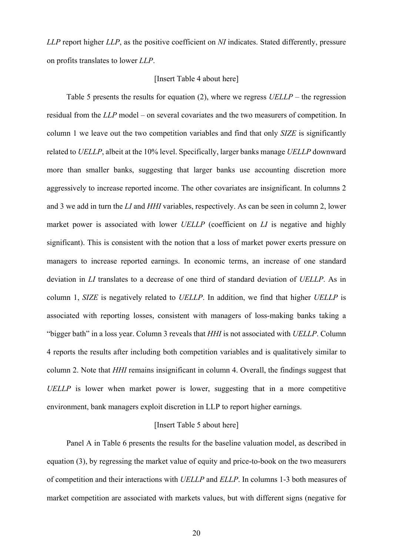*LLP* report higher *LLP*, as the positive coefficient on *NI* indicates. Stated differently, pressure on profits translates to lower *LLP*.

### [Insert Table 4 about here]

Table 5 presents the results for equation (2), where we regress *UELLP* – the regression residual from the *LLP* model – on several covariates and the two measurers of competition. In column 1 we leave out the two competition variables and find that only *SIZE* is significantly related to *UELLP*, albeit at the 10% level. Specifically, larger banks manage *UELLP* downward more than smaller banks, suggesting that larger banks use accounting discretion more aggressively to increase reported income. The other covariates are insignificant. In columns 2 and 3 we add in turn the *LI* and *HHI* variables, respectively. As can be seen in column 2, lower market power is associated with lower *UELLP* (coefficient on *LI* is negative and highly significant). This is consistent with the notion that a loss of market power exerts pressure on managers to increase reported earnings. In economic terms, an increase of one standard deviation in *LI* translates to a decrease of one third of standard deviation of *UELLP*. As in column 1, *SIZE* is negatively related to *UELLP*. In addition, we find that higher *UELLP* is associated with reporting losses, consistent with managers of loss-making banks taking a "bigger bath" in a loss year. Column 3 reveals that *HHI* is not associated with *UELLP*. Column 4 reports the results after including both competition variables and is qualitatively similar to column 2. Note that *HHI* remains insignificant in column 4. Overall, the findings suggest that *UELLP* is lower when market power is lower, suggesting that in a more competitive environment, bank managers exploit discretion in LLP to report higher earnings.

## [Insert Table 5 about here]

Panel A in Table 6 presents the results for the baseline valuation model, as described in equation (3), by regressing the market value of equity and price-to-book on the two measurers of competition and their interactions with *UELLP* and *ELLP*. In columns 1-3 both measures of market competition are associated with markets values, but with different signs (negative for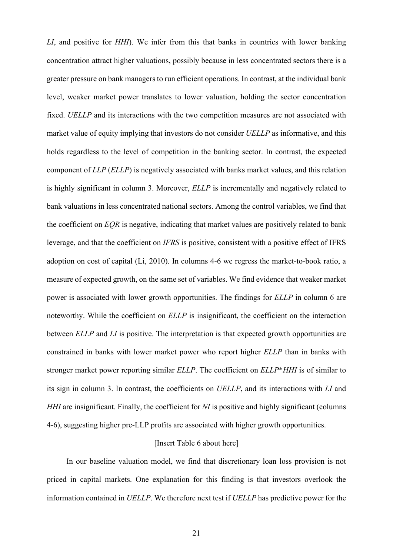*LI*, and positive for *HHI*). We infer from this that banks in countries with lower banking concentration attract higher valuations, possibly because in less concentrated sectors there is a greater pressure on bank managers to run efficient operations. In contrast, at the individual bank level, weaker market power translates to lower valuation, holding the sector concentration fixed. *UELLP* and its interactions with the two competition measures are not associated with market value of equity implying that investors do not consider *UELLP* as informative, and this holds regardless to the level of competition in the banking sector. In contrast, the expected component of *LLP* (*ELLP*) is negatively associated with banks market values, and this relation is highly significant in column 3. Moreover, *ELLP* is incrementally and negatively related to bank valuations in less concentrated national sectors. Among the control variables, we find that the coefficient on *EQR* is negative, indicating that market values are positively related to bank leverage, and that the coefficient on *IFRS* is positive, consistent with a positive effect of IFRS adoption on cost of capital (Li, 2010). In columns 4-6 we regress the market-to-book ratio, a measure of expected growth, on the same set of variables. We find evidence that weaker market power is associated with lower growth opportunities. The findings for *ELLP* in column 6 are noteworthy. While the coefficient on *ELLP* is insignificant, the coefficient on the interaction between *ELLP* and *LI* is positive. The interpretation is that expected growth opportunities are constrained in banks with lower market power who report higher *ELLP* than in banks with stronger market power reporting similar *ELLP*. The coefficient on *ELLP*\**HHI* is of similar to its sign in column 3. In contrast, the coefficients on *UELLP*, and its interactions with *LI* and *HHI* are insignificant. Finally, the coefficient for *NI* is positive and highly significant (columns 4-6), suggesting higher pre-LLP profits are associated with higher growth opportunities.

#### [Insert Table 6 about here]

In our baseline valuation model, we find that discretionary loan loss provision is not priced in capital markets. One explanation for this finding is that investors overlook the information contained in *UELLP*. We therefore next test if *UELLP* has predictive power for the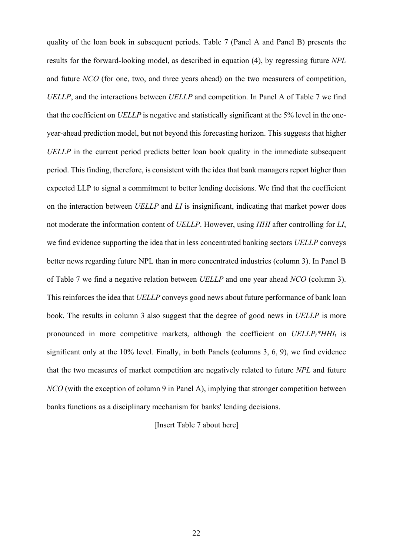quality of the loan book in subsequent periods. Table 7 (Panel A and Panel B) presents the results for the forward-looking model, as described in equation (4), by regressing future *NPL* and future *NCO* (for one, two, and three years ahead) on the two measurers of competition, *UELLP*, and the interactions between *UELLP* and competition. In Panel A of Table 7 we find that the coefficient on *UELLP* is negative and statistically significant at the 5% level in the oneyear-ahead prediction model, but not beyond this forecasting horizon. This suggests that higher *UELLP* in the current period predicts better loan book quality in the immediate subsequent period. This finding, therefore, is consistent with the idea that bank managers report higher than expected LLP to signal a commitment to better lending decisions. We find that the coefficient on the interaction between *UELLP* and *LI* is insignificant, indicating that market power does not moderate the information content of *UELLP*. However, using *HHI* after controlling for *LI*, we find evidence supporting the idea that in less concentrated banking sectors *UELLP* conveys better news regarding future NPL than in more concentrated industries (column 3). In Panel B of Table 7 we find a negative relation between *UELLP* and one year ahead *NCO* (column 3). This reinforces the idea that *UELLP* conveys good news about future performance of bank loan book. The results in column 3 also suggest that the degree of good news in *UELLP* is more pronounced in more competitive markets, although the coefficient on  $UELLP_t*HH_I$  is significant only at the 10% level. Finally, in both Panels (columns 3, 6, 9), we find evidence that the two measures of market competition are negatively related to future *NPL* and future *NCO* (with the exception of column 9 in Panel A), implying that stronger competition between banks functions as a disciplinary mechanism for banks' lending decisions.

[Insert Table 7 about here]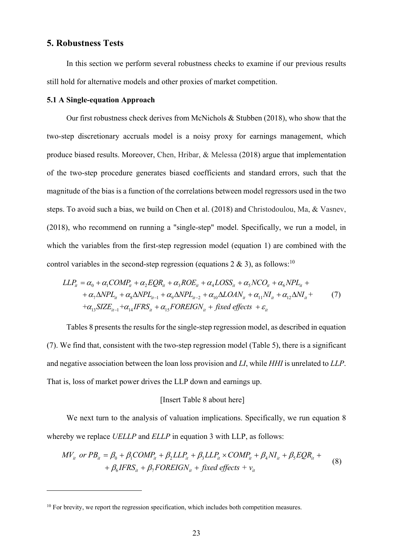## **5. Robustness Tests**

In this section we perform several robustness checks to examine if our previous results still hold for alternative models and other proxies of market competition.

## **5.1 A Single-equation Approach**

Our first robustness check derives from McNichols & Stubben (2018), who show that the two-step discretionary accruals model is a noisy proxy for earnings management, which produce biased results. Moreover, Chen, Hribar, & Melessa (2018) argue that implementation of the two-step procedure generates biased coefficients and standard errors, such that the magnitude of the bias is a function of the correlations between model regressors used in the two steps. To avoid such a bias, we build on Chen et al. (2018) and Christodoulou, Ma, & Vasnev, (2018), who recommend on running a "single-step" model. Specifically, we run a model, in which the variables from the first-step regression model (equation 1) are combined with the control variables in the second-step regression (equations 2 & 3), as follows:<sup>10</sup>

$$
LLP_{it} = \alpha_0 + \alpha_1 COMP_{it} + \alpha_2 EQR_{it} + \alpha_3 ROE_{it} + \alpha_4 LOSS_{it} + \alpha_5 NCO_{it} + \alpha_6 NPL_{it} +
$$
  
+  $\alpha_7 \Delta NPL_{it} + \alpha_8 \Delta NPL_{it-1} + \alpha_9 \Delta NPL_{it-2} + \alpha_{10} \Delta LOAN_{it} + \alpha_{11} NI_{it} + \alpha_{12} \Delta NI_{it} +$   
+  $\alpha_{13} SIZE_{it-1} + \alpha_{14} IFRS_{it} + \alpha_{15} FOREIGN_{it} + fixed effects + \varepsilon_{it}$  (7)

Tables 8 presents the results for the single-step regression model, as described in equation (7). We find that, consistent with the two-step regression model (Table 5), there is a significant and negative association between the loan loss provision and *LI*, while *HHI* is unrelated to *LLP*. That is, loss of market power drives the LLP down and earnings up.

#### [Insert Table 8 about here]

We next turn to the analysis of valuation implications. Specifically, we run equation 8 whereby we replace *UELLP* and *ELLP* in equation 3 with LLP, as follows:

$$
MV_{it} \text{ or } PB_{it} = \beta_0 + \beta_1 COMP_{it} + \beta_2 LLP_{it} + \beta_3 LLP_{it} \times COMP_{it} + \beta_4 NI_{it} + \beta_5 EQR_{it} + + \beta_6 IFRS_{it} + \beta_7 FOREIGN_{it} + fixed effects + v_{it}
$$
 (8)

<sup>&</sup>lt;sup>10</sup> For brevity, we report the regression specification, which includes both competition measures.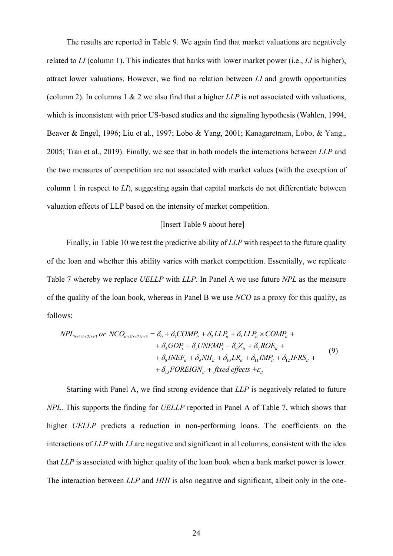The results are reported in Table 9. We again find that market valuations are negatively related to *LI* (column 1). This indicates that banks with lower market power (i.e., *LI* is higher), attract lower valuations. However, we find no relation between *LI* and growth opportunities (column 2). In columns 1 & 2 we also find that a higher *LLP* is not associated with valuations, which is inconsistent with prior US-based studies and the signaling hypothesis (Wahlen, 1994, Beaver & Engel, 1996; Liu et al., 1997; Lobo & Yang, 2001; Kanagaretnam, Lobo, & Yang., 2005; Tran et al., 2019). Finally, we see that in both models the interactions between *LLP* and the two measures of competition are not associated with market values (with the exception of column 1 in respect to *LI*), suggesting again that capital markets do not differentiate between valuation effects of LLP based on the intensity of market competition.

### [Insert Table 9 about here]

Finally, in Table 10 we test the predictive ability of *LLP* with respect to the future quality of the loan and whether this ability varies with market competition. Essentially, we replicate Table 7 whereby we replace *UELLP* with *LLP*. In Panel A we use future *NPL* as the measure of the quality of the loan book, whereas in Panel B we use *NCO* as a proxy for this quality, as follows:

$$
NPL_{ii+1/t+2/t+3} \text{ or } NCO_{ii+1/t+2/t+3} = \delta_0 + \delta_1 COMP_{ii} + \delta_2 LLP_{ii} + \delta_3 LLP_{ii} \times COMP_{ii} ++ \delta_4 GDP_t + \delta_5 UNEMP_t + \delta_6 Z_{ii} + \delta_7 ROE_{ii} ++ \delta_8 INEF_{ii} + \delta_9 NI_{ii} + \delta_{10} LR_{ii} + \delta_{11} IMP_{ii} + \delta_{12} IFRS_{ii} ++ \delta_{13} FOREIGN_{ii} + fixed effects + \varepsilon_{ii}
$$
\n(9)

Starting with Panel A, we find strong evidence that *LLP* is negatively related to future *NPL*. This supports the finding for *UELLP* reported in Panel A of Table 7, which shows that higher *UELLP* predicts a reduction in non-performing loans. The coefficients on the interactions of *LLP* with *LI* are negative and significant in all columns, consistent with the idea that *LLP* is associated with higher quality of the loan book when a bank market power is lower. The interaction between *LLP* and *HHI* is also negative and significant, albeit only in the one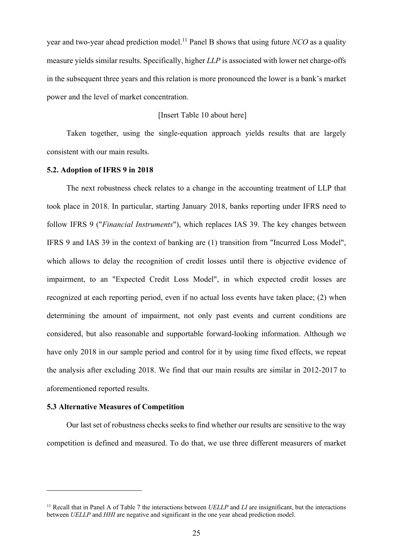year and two-year ahead prediction model.<sup>11</sup> Panel B shows that using future *NCO* as a quality measure yields similar results. Specifically, higher *LLP* is associated with lower net charge-offs in the subsequent three years and this relation is more pronounced the lower is a bank's market power and the level of market concentration.

## [Insert Table 10 about here]

Taken together, using the single-equation approach yields results that are largely consistent with our main results.

## **5.2. Adoption of IFRS 9 in 2018**

The next robustness check relates to a change in the accounting treatment of LLP that took place in 2018. In particular, starting January 2018, banks reporting under IFRS need to follow IFRS 9 ("*Financial Instruments*"), which replaces IAS 39. The key changes between IFRS 9 and IAS 39 in the context of banking are (1) transition from "Incurred Loss Model", which allows to delay the recognition of credit losses until there is objective evidence of impairment, to an "Expected Credit Loss Model", in which expected credit losses are recognized at each reporting period, even if no actual loss events have taken place; (2) when determining the amount of impairment, not only past events and current conditions are considered, but also reasonable and supportable forward-looking information. Although we have only 2018 in our sample period and control for it by using time fixed effects, we repeat the analysis after excluding 2018. We find that our main results are similar in 2012-2017 to aforementioned reported results.

#### **5.3 Alternative Measures of Competition**

Our last set of robustness checks seeks to find whether our results are sensitive to the way competition is defined and measured. To do that, we use three different measurers of market

<sup>&</sup>lt;sup>11</sup> Recall that in Panel A of Table 7 the interactions between *UELLP* and *LI* are insignificant, but the interactions between *UELLP* and *HHI* are negative and significant in the one year ahead prediction model.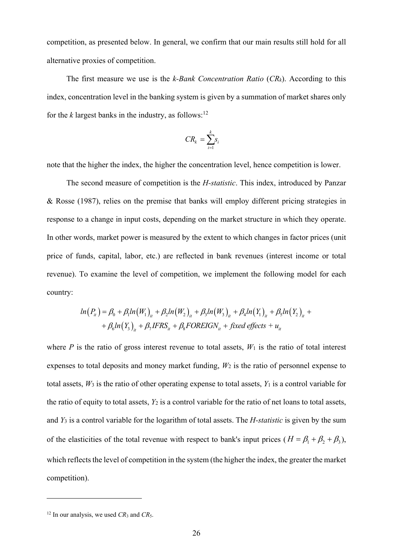competition, as presented below. In general, we confirm that our main results still hold for all alternative proxies of competition.

The first measure we use is the *k-Bank Concentration Ratio* (*CRk*). According to this index, concentration level in the banking system is given by a summation of market shares only for the  $k$  largest banks in the industry, as follows:<sup>12</sup>

$$
CR_k = \sum_{i=1}^k s_i
$$

note that the higher the index, the higher the concentration level, hence competition is lower.

The second measure of competition is the *H-statistic*. This index, introduced by Panzar & Rosse (1987), relies on the premise that banks will employ different pricing strategies in response to a change in input costs, depending on the market structure in which they operate. In other words, market power is measured by the extent to which changes in factor prices (unit price of funds, capital, labor, etc.) are reflected in bank revenues (interest income or total revenue). To examine the level of competition, we implement the following model for each country:

$$
ln(P_{ii}) = \beta_0 + \beta_1 ln(W_1)_{ii} + \beta_2 ln(W_2)_{ii} + \beta_3 ln(W_3)_{ii} + \beta_4 ln(Y_1)_{ii} + \beta_5 ln(Y_2)_{ii} + + \beta_6 ln(Y_3)_{ii} + \beta_7 IFRS_{ii} + \beta_8 FOREIGN_{ii} + fixed effects + u_{ii}
$$

where *P* is the ratio of gross interest revenue to total assets,  $W_1$  is the ratio of total interest expenses to total deposits and money market funding, *W*2 is the ratio of personnel expense to total assets,  $W_3$  is the ratio of other operating expense to total assets,  $Y_1$  is a control variable for the ratio of equity to total assets, *Y*2 is a control variable for the ratio of net loans to total assets, and *Y*3 is a control variable for the logarithm of total assets. The *H-statistic* is given by the sum of the elasticities of the total revenue with respect to bank's input prices  $(H = \beta_1 + \beta_2 + \beta_3)$ , which reflects the level of competition in the system (the higher the index, the greater the market competition).

<sup>&</sup>lt;sup>12</sup> In our analysis, we used  $CR_3$  and  $CR_5$ .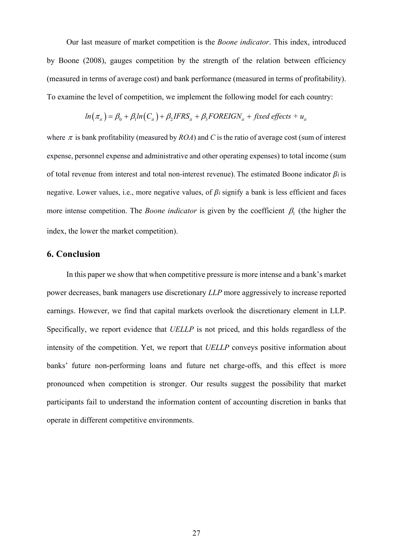Our last measure of market competition is the *Boone indicator*. This index, introduced by Boone (2008), gauges competition by the strength of the relation between efficiency (measured in terms of average cost) and bank performance (measured in terms of profitability). To examine the level of competition, we implement the following model for each country:

$$
ln(\pi_{ii}) = \beta_0 + \beta_1 ln(C_{ii}) + \beta_2 IFRS_{ii} + \beta_3 FOREIGN_{ii} + fixed\ effects + u_{ii}
$$

where  $\pi$  is bank profitability (measured by *ROA*) and *C* is the ratio of average cost (sum of interest expense, personnel expense and administrative and other operating expenses) to total income (sum of total revenue from interest and total non-interest revenue). The estimated Boone indicator  $\beta_i$  is negative. Lower values, i.e., more negative values, of  $\beta_i$  signify a bank is less efficient and faces more intense competition. The *Boone indicator* is given by the coefficient  $\beta_1$  (the higher the index, the lower the market competition).

## **6. Conclusion**

In this paper we show that when competitive pressure is more intense and a bank's market power decreases, bank managers use discretionary *LLP* more aggressively to increase reported earnings. However, we find that capital markets overlook the discretionary element in LLP. Specifically, we report evidence that *UELLP* is not priced, and this holds regardless of the intensity of the competition. Yet, we report that *UELLP* conveys positive information about banks' future non-performing loans and future net charge-offs, and this effect is more pronounced when competition is stronger. Our results suggest the possibility that market participants fail to understand the information content of accounting discretion in banks that operate in different competitive environments.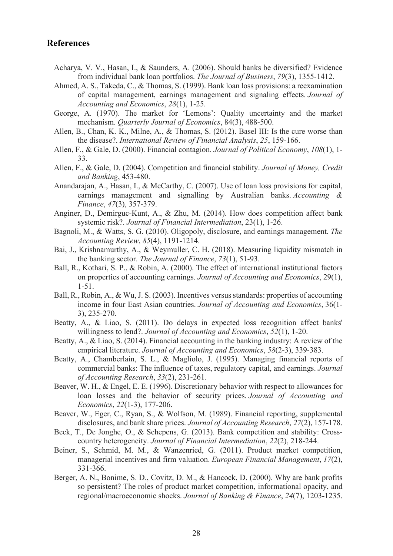## **References**

- Acharya, V. V., Hasan, I., & Saunders, A. (2006). Should banks be diversified? Evidence from individual bank loan portfolios. *The Journal of Business*, *79*(3), 1355-1412.
- Ahmed, A. S., Takeda, C., & Thomas, S. (1999). Bank loan loss provisions: a reexamination of capital management, earnings management and signaling effects. *Journal of Accounting and Economics*, *28*(1), 1-25.
- George, A. (1970). The market for 'Lemons': Quality uncertainty and the market mechanism. *Quarterly Journal of Economics*, 84(3), 488-500.
- Allen, B., Chan, K. K., Milne, A., & Thomas, S. (2012). Basel III: Is the cure worse than the disease?. *International Review of Financial Analysis*, *25*, 159-166.
- Allen, F., & Gale, D. (2000). Financial contagion. *Journal of Political Economy*, *108*(1), 1- 33.
- Allen, F., & Gale, D. (2004). Competition and financial stability. *Journal of Money, Credit and Banking*, 453-480.
- Anandarajan, A., Hasan, I., & McCarthy, C. (2007). Use of loan loss provisions for capital, earnings management and signalling by Australian banks. *Accounting & Finance*, *47*(3), 357-379.
- Anginer, D., Demirguc-Kunt, A., & Zhu, M. (2014). How does competition affect bank systemic risk?. *Journal of Financial Intermediation*, 23(1), 1-26.
- Bagnoli, M., & Watts, S. G. (2010). Oligopoly, disclosure, and earnings management. *The Accounting Review*, *85*(4), 1191-1214.
- Bai, J., Krishnamurthy, A., & Weymuller, C. H. (2018). Measuring liquidity mismatch in the banking sector. *The Journal of Finance*, *73*(1), 51-93.
- Ball, R., Kothari, S. P., & Robin, A. (2000). The effect of international institutional factors on properties of accounting earnings. *Journal of Accounting and Economics*, 29(1), 1-51.
- Ball, R., Robin, A., & Wu, J. S. (2003). Incentives versus standards: properties of accounting income in four East Asian countries. *Journal of Accounting and Economics*, 36(1- 3), 235-270.
- Beatty, A., & Liao, S. (2011). Do delays in expected loss recognition affect banks' willingness to lend?. *Journal of Accounting and Economics*, *52*(1), 1-20.
- Beatty, A., & Liao, S. (2014). Financial accounting in the banking industry: A review of the empirical literature. *Journal of Accounting and Economics*, *58*(2-3), 339-383.
- Beatty, A., Chamberlain, S. L., & Magliolo, J. (1995). Managing financial reports of commercial banks: The influence of taxes, regulatory capital, and earnings. *Journal of Accounting Research*, *33*(2), 231-261.
- Beaver, W. H., & Engel, E. E. (1996). Discretionary behavior with respect to allowances for loan losses and the behavior of security prices. *Journal of Accounting and Economics*, *22*(1-3), 177-206.
- Beaver, W., Eger, C., Ryan, S., & Wolfson, M. (1989). Financial reporting, supplemental disclosures, and bank share prices. *Journal of Accounting Research*, *27*(2), 157-178.
- Beck, T., De Jonghe, O., & Schepens, G. (2013). Bank competition and stability: Crosscountry heterogeneity. *Journal of Financial Intermediation*, *22*(2), 218-244.
- Beiner, S., Schmid, M. M., & Wanzenried, G. (2011). Product market competition, managerial incentives and firm valuation. *European Financial Management*, *17*(2), 331-366.
- Berger, A. N., Bonime, S. D., Covitz, D. M., & Hancock, D. (2000). Why are bank profits so persistent? The roles of product market competition, informational opacity, and regional/macroeconomic shocks. *Journal of Banking & Finance*, *24*(7), 1203-1235.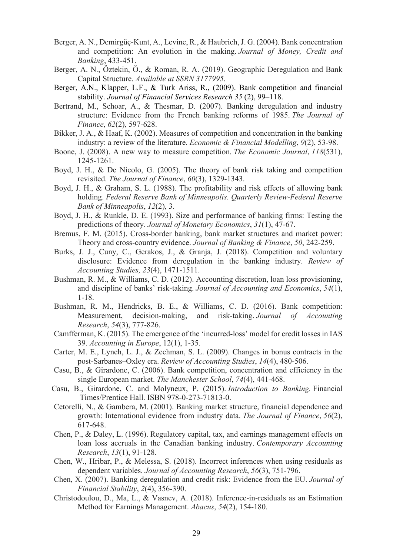- Berger, A. N., Demirgüç-Kunt, A., Levine, R., & Haubrich, J. G. (2004). Bank concentration and competition: An evolution in the making. *Journal of Money, Credit and Banking*, 433-451.
- Berger, A. N., Öztekin, Ö., & Roman, R. A. (2019). Geographic Deregulation and Bank Capital Structure. *Available at SSRN 3177995*.
- Berger, A.N., Klapper, L.F., & Turk Ariss, R., (2009). Bank competition and financial stability. *Journal of Financial Services Research 35* (2), 99–118.
- Bertrand, M., Schoar, A., & Thesmar, D. (2007). Banking deregulation and industry structure: Evidence from the French banking reforms of 1985. *The Journal of Finance*, *62*(2), 597-628.
- Bikker, J. A., & Haaf, K. (2002). Measures of competition and concentration in the banking industry: a review of the literature. *Economic & Financial Modelling*, *9*(2), 53-98.
- Boone, J. (2008). A new way to measure competition. *The Economic Journal*, *118*(531), 1245-1261.
- Boyd, J. H., & De Nicolo, G. (2005). The theory of bank risk taking and competition revisited. *The Journal of Finance*, *60*(3), 1329-1343.
- Boyd, J. H., & Graham, S. L. (1988). The profitability and risk effects of allowing bank holding. *Federal Reserve Bank of Minneapolis. Quarterly Review-Federal Reserve Bank of Minneapolis*, *12*(2), 3.
- Boyd, J. H., & Runkle, D. E. (1993). Size and performance of banking firms: Testing the predictions of theory. *Journal of Monetary Economics*, *31*(1), 47-67.
- Bremus, F. M. (2015). Cross-border banking, bank market structures and market power: Theory and cross-country evidence. *Journal of Banking & Finance*, *50*, 242-259.
- Burks, J. J., Cuny, C., Gerakos, J., & Granja, J. (2018). Competition and voluntary disclosure: Evidence from deregulation in the banking industry. *Review of Accounting Studies, 23*(4), 1471-1511.
- Bushman, R. M., & Williams, C. D. (2012). Accounting discretion, loan loss provisioning, and discipline of banks' risk-taking. *Journal of Accounting and Economics*, *54*(1), 1-18.
- Bushman, R. M., Hendricks, B. E., & Williams, C. D. (2016). Bank competition: Measurement, decision‐making, and risk‐taking. *Journal of Accounting Research*, *54*(3), 777-826.
- Camfferman, K. (2015). The emergence of the 'incurred-loss' model for credit losses in IAS 39. *Accounting in Europe*, 12(1), 1-35.
- Carter, M. E., Lynch, L. J., & Zechman, S. L. (2009). Changes in bonus contracts in the post-Sarbanes–Oxley era. *Review of Accounting Studies*, *14*(4), 480-506.
- Casu, B., & Girardone, C. (2006). Bank competition, concentration and efficiency in the single European market. *The Manchester School*, *74*(4), 441-468.
- Casu, B., Girardone, C. and Molyneux, P. (2015). *Introduction to Banking.* Financial Times/Prentice Hall. ISBN 978-0-273-71813-0.
- Cetorelli, N., & Gambera, M. (2001). Banking market structure, financial dependence and growth: International evidence from industry data. *The Journal of Finance*, *56*(2), 617-648.
- Chen, P., & Daley, L. (1996). Regulatory capital, tax, and earnings management effects on loan loss accruals in the Canadian banking industry. *Contemporary Accounting Research*, *13*(1), 91-128.
- Chen, W., Hribar, P., & Melessa, S. (2018). Incorrect inferences when using residuals as dependent variables. *Journal of Accounting Research*, *56*(3), 751-796.
- Chen, X. (2007). Banking deregulation and credit risk: Evidence from the EU. *Journal of Financial Stability*, *2*(4), 356-390.
- Christodoulou, D., Ma, L., & Vasnev, A. (2018). Inference‐in‐residuals as an Estimation Method for Earnings Management. *Abacus*, *54*(2), 154-180.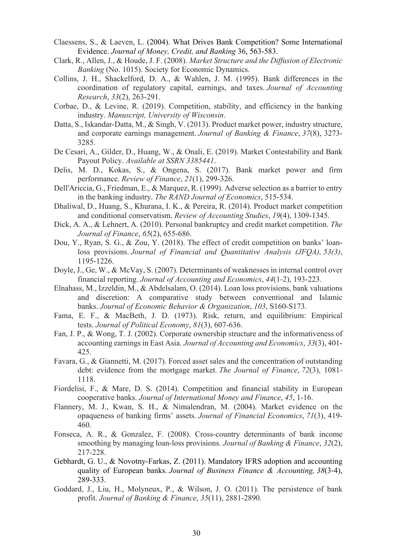- Claessens, S., & Laeven, L. (2004). What Drives Bank Competition? Some International Evidence. *Journal of Money, Credit, and Banking* 36, 563-583.
- Clark, R., Allen, J., & Houde, J. F. (2008). *Market Structure and the Diffusion of Electronic Banking* (No. 1015). Society for Economic Dynamics.
- Collins, J. H., Shackelford, D. A., & Wahlen, J. M. (1995). Bank differences in the coordination of regulatory capital, earnings, and taxes. *Journal of Accounting Research*, *33*(2), 263-291.
- Corbae, D., & Levine, R. (2019). Competition, stability, and efficiency in the banking industry. *Manuscript, University of Wisconsin*.
- Datta, S., Iskandar-Datta, M., & Singh, V. (2013). Product market power, industry structure, and corporate earnings management. *Journal of Banking & Finance*, *37*(8), 3273- 3285.
- De Cesari, A., Gilder, D., Huang, W., & Onali, E. (2019). Market Contestability and Bank Payout Policy. *Available at SSRN 3385441*.
- Delis, M. D., Kokas, S., & Ongena, S. (2017). Bank market power and firm performance. *Review of Finance*, *21*(1), 299-326.
- Dell'Ariccia, G., Friedman, E., & Marquez, R. (1999). Adverse selection as a barrier to entry in the banking industry. *The RAND Journal of Economics*, 515-534.
- Dhaliwal, D., Huang, S., Khurana, I. K., & Pereira, R. (2014). Product market competition and conditional conservatism. *Review of Accounting Studies*, *19*(4), 1309-1345.
- Dick, A. A., & Lehnert, A. (2010). Personal bankruptcy and credit market competition. *The Journal of Finance*, *65*(2), 655-686.
- Dou, Y., Ryan, S. G., & Zou, Y. (2018). The effect of credit competition on banks' loanloss provisions. *Journal of Financial and Quantitative Analysis (JFQA), 53(3)*, 1195-1226.
- Doyle, J., Ge, W., & McVay, S. (2007). Determinants of weaknesses in internal control over financial reporting. *Journal of Accounting and Economics*, *44*(1-2), 193-223.
- Elnahass, M., Izzeldin, M., & Abdelsalam, O. (2014). Loan loss provisions, bank valuations and discretion: A comparative study between conventional and Islamic banks. *Journal of Economic Behavior & Organization*, *103*, S160-S173.
- Fama, E. F., & MacBeth, J. D. (1973). Risk, return, and equilibrium: Empirical tests. *Journal of Political Economy*, *81*(3), 607-636.
- Fan, J. P., & Wong, T. J. (2002). Corporate ownership structure and the informativeness of accounting earnings in East Asia. *Journal of Accounting and Economics*, *33*(3), 401- 425.
- Favara, G., & Giannetti, M. (2017). Forced asset sales and the concentration of outstanding debt: evidence from the mortgage market. *The Journal of Finance*, *72*(3), 1081- 1118.
- Fiordelisi, F., & Mare, D. S. (2014). Competition and financial stability in European cooperative banks. *Journal of International Money and Finance*, *45*, 1-16.
- Flannery, M. J., Kwan, S. H., & Nimalendran, M. (2004). Market evidence on the opaqueness of banking firms' assets. *Journal of Financial Economics*, *71*(3), 419- 460.
- Fonseca, A. R., & Gonzalez, F. (2008). Cross-country determinants of bank income smoothing by managing loan-loss provisions. *Journal of Banking & Finance*, *32*(2), 217-228.
- Gebhardt, G. U., & Novotny-Farkas, Z. (2011). Mandatory IFRS adoption and accounting quality of European banks. *Journal of Business Finance & Accounting, 38*(3-4), 289-333.
- Goddard, J., Liu, H., Molyneux, P., & Wilson, J. O. (2011). The persistence of bank profit. *Journal of Banking & Finance*, *35*(11), 2881-2890.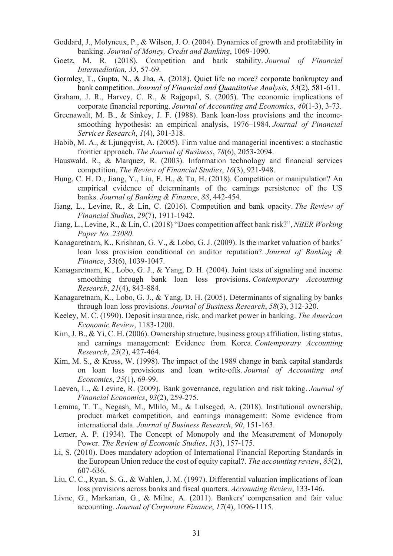- Goddard, J., Molyneux, P., & Wilson, J. O. (2004). Dynamics of growth and profitability in banking. *Journal of Money, Credit and Banking*, 1069-1090.
- Goetz, M. R. (2018). Competition and bank stability. *Journal of Financial Intermediation*, *35*, 57-69.
- Gormley, T., Gupta, N., & Jha, A. (2018). Quiet life no more? corporate bankruptcy and bank competition. *Journal of Financial and Quantitative Analysis, 53*(2), 581-611.
- Graham, J. R., Harvey, C. R., & Rajgopal, S. (2005). The economic implications of corporate financial reporting. *Journal of Accounting and Economics*, *40*(1-3), 3-73.
- Greenawalt, M. B., & Sinkey, J. F. (1988). Bank loan-loss provisions and the incomesmoothing hypothesis: an empirical analysis, 1976–1984. *Journal of Financial Services Research*, *1*(4), 301-318.
- Habib, M. A., & Ljungqvist, A. (2005). Firm value and managerial incentives: a stochastic frontier approach. *The Journal of Business*, *78*(6), 2053-2094.
- Hauswald, R., & Marquez, R. (2003). Information technology and financial services competition. *The Review of Financial Studies*, *16*(3), 921-948.
- Hung, C. H. D., Jiang, Y., Liu, F. H., & Tu, H. (2018). Competition or manipulation? An empirical evidence of determinants of the earnings persistence of the US banks. *Journal of Banking & Finance*, *88*, 442-454.
- Jiang, L., Levine, R., & Lin, C. (2016). Competition and bank opacity. *The Review of Financial Studies*, *29*(7), 1911-1942.
- Jiang, L., Levine, R., & Lin, C. (2018) "Does competition affect bank risk?", *NBER Working Paper No. 23080*.
- Kanagaretnam, K., Krishnan, G. V., & Lobo, G. J. (2009). Is the market valuation of banks' loan loss provision conditional on auditor reputation?. *Journal of Banking & Finance*, *33*(6), 1039-1047.
- Kanagaretnam, K., Lobo, G. J., & Yang, D. H. (2004). Joint tests of signaling and income smoothing through bank loan loss provisions. *Contemporary Accounting Research*, *21*(4), 843-884.
- Kanagaretnam, K., Lobo, G. J., & Yang, D. H. (2005). Determinants of signaling by banks through loan loss provisions. *Journal of Business Research*, *58*(3), 312-320.
- Keeley, M. C. (1990). Deposit insurance, risk, and market power in banking. *The American Economic Review*, 1183-1200.
- Kim, J. B., & Yi, C. H. (2006). Ownership structure, business group affiliation, listing status, and earnings management: Evidence from Korea. *Contemporary Accounting Research*, *23*(2), 427-464.
- Kim, M. S., & Kross, W. (1998). The impact of the 1989 change in bank capital standards on loan loss provisions and loan write-offs. *Journal of Accounting and Economics*, *25*(1), 69-99.
- Laeven, L., & Levine, R. (2009). Bank governance, regulation and risk taking. *Journal of Financial Economics*, *93*(2), 259-275.
- Lemma, T. T., Negash, M., Mlilo, M., & Lulseged, A. (2018). Institutional ownership, product market competition, and earnings management: Some evidence from international data. *Journal of Business Research*, *90*, 151-163.
- Lerner, A. P. (1934). The Concept of Monopoly and the Measurement of Monopoly Power. *The Review of Economic Studies*, *1*(3), 157-175.
- Li, S. (2010). Does mandatory adoption of International Financial Reporting Standards in the European Union reduce the cost of equity capital?. *The accounting review*, *85*(2), 607-636.
- Liu, C. C., Ryan, S. G., & Wahlen, J. M. (1997). Differential valuation implications of loan loss provisions across banks and fiscal quarters. *Accounting Review*, 133-146.
- Livne, G., Markarian, G., & Milne, A. (2011). Bankers' compensation and fair value accounting. *Journal of Corporate Finance*, *17*(4), 1096-1115.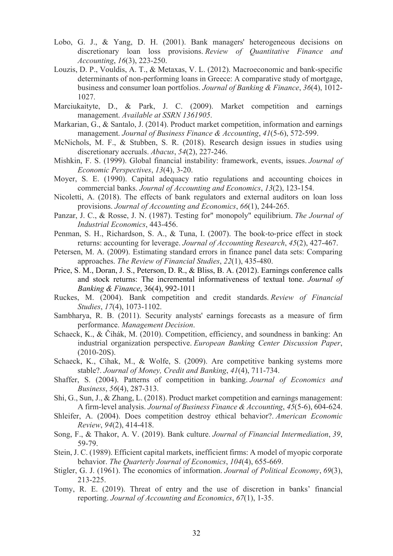- Lobo, G. J., & Yang, D. H. (2001). Bank managers' heterogeneous decisions on discretionary loan loss provisions. *Review of Quantitative Finance and Accounting*, *16*(3), 223-250.
- Louzis, D. P., Vouldis, A. T., & Metaxas, V. L. (2012). Macroeconomic and bank-specific determinants of non-performing loans in Greece: A comparative study of mortgage, business and consumer loan portfolios. *Journal of Banking & Finance*, *36*(4), 1012- 1027.
- Marciukaityte, D., & Park, J. C. (2009). Market competition and earnings management. *Available at SSRN 1361905*.
- Markarian, G., & Santalo, J. (2014). Product market competition, information and earnings management. *Journal of Business Finance & Accounting*, *41*(5-6), 572-599.
- McNichols, M. F., & Stubben, S. R. (2018). Research design issues in studies using discretionary accruals. *Abacus*, *54*(2), 227-246.
- Mishkin, F. S. (1999). Global financial instability: framework, events, issues. *Journal of Economic Perspectives*, *13*(4), 3-20.
- Moyer, S. E. (1990). Capital adequacy ratio regulations and accounting choices in commercial banks. *Journal of Accounting and Economics*, *13*(2), 123-154.
- Nicoletti, A. (2018). The effects of bank regulators and external auditors on loan loss provisions. *Journal of Accounting and Economics*, *66*(1), 244-265.
- Panzar, J. C., & Rosse, J. N. (1987). Testing for" monopoly" equilibrium. *The Journal of Industrial Economics*, 443-456.
- Penman, S. H., Richardson, S. A., & Tuna, I. (2007). The book-to-price effect in stock returns: accounting for leverage. *Journal of Accounting Research*, *45*(2), 427-467.
- Petersen, M. A. (2009). Estimating standard errors in finance panel data sets: Comparing approaches. *The Review of Financial Studies*, *22*(1), 435-480.
- Price, S. M., Doran, J. S., Peterson, D. R., & Bliss, B. A. (2012). Earnings conference calls and stock returns: The incremental informativeness of textual tone. *Journal of Banking & Finance*, 36(4), 992-1011
- Ruckes, M. (2004). Bank competition and credit standards. *Review of Financial Studies*, *17*(4), 1073-1102.
- Sambharya, R. B. (2011). Security analysts' earnings forecasts as a measure of firm performance. *Management Decision*.
- Schaeck, K., & Čihák, M. (2010). Competition, efficiency, and soundness in banking: An industrial organization perspective. *European Banking Center Discussion Paper*, (2010-20S).
- Schaeck, K., Cihak, M., & Wolfe, S. (2009). Are competitive banking systems more stable?. *Journal of Money, Credit and Banking*, *41*(4), 711-734.
- Shaffer, S. (2004). Patterns of competition in banking. *Journal of Economics and Business*, *56*(4), 287-313.
- Shi, G., Sun, J., & Zhang, L. (2018). Product market competition and earnings management: A firm‐level analysis. *Journal of Business Finance & Accounting*, *45*(5-6), 604-624.
- Shleifer, A. (2004). Does competition destroy ethical behavior?. *American Economic Review*, *94*(2), 414-418.
- Song, F., & Thakor, A. V. (2019). Bank culture. *Journal of Financial Intermediation*, *39*, 59-79.
- Stein, J. C. (1989). Efficient capital markets, inefficient firms: A model of myopic corporate behavior. *The Quarterly Journal of Economics*, *104*(4), 655-669.
- Stigler, G. J. (1961). The economics of information. *Journal of Political Economy*, *69*(3), 213-225.
- Tomy, R. E. (2019). Threat of entry and the use of discretion in banks' financial reporting. *Journal of Accounting and Economics*, *67*(1), 1-35.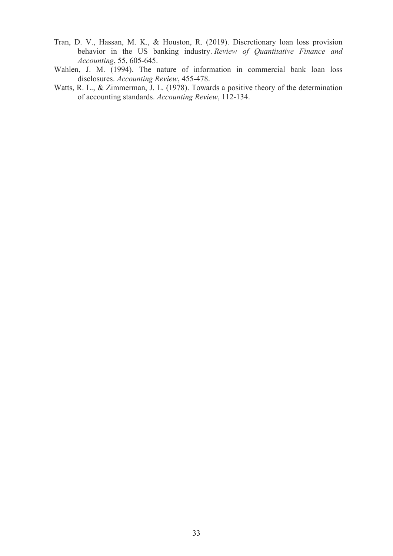- Tran, D. V., Hassan, M. K., & Houston, R. (2019). Discretionary loan loss provision behavior in the US banking industry. *Review of Quantitative Finance and Accounting*, 55, 605-645.
- Wahlen, J. M. (1994). The nature of information in commercial bank loan loss disclosures. *Accounting Review*, 455-478.
- Watts, R. L., & Zimmerman, J. L. (1978). Towards a positive theory of the determination of accounting standards. *Accounting Review*, 112-134.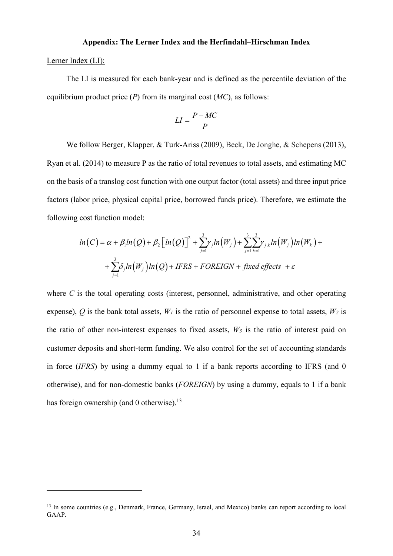#### **Appendix: The Lerner Index and the Herfindahl–Hirschman Index**

#### Lerner Index (LI):

The LI is measured for each bank-year and is defined as the percentile deviation of the equilibrium product price (*P*) from its marginal cost (*MC*), as follows:

$$
LI = \frac{P - MC}{P}
$$

We follow Berger, Klapper, & Turk-Ariss (2009), Beck, De Jonghe, & Schepens (2013), Ryan et al. (2014) to measure P as the ratio of total revenues to total assets, and estimating MC on the basis of a translog cost function with one output factor (total assets) and three input price factors (labor price, physical capital price, borrowed funds price). Therefore, we estimate the following cost function model:

$$
ln(C) = \alpha + \beta_1 ln(Q) + \beta_2 [ln(Q)]^2 + \sum_{j=1}^3 \gamma_j ln(W_j) + \sum_{j=1}^3 \sum_{k=1}^3 \gamma_{j,k} ln(W_j) ln(W_k) +
$$
  
+ 
$$
\sum_{j=1}^3 \delta_j ln(W_j) ln(Q) + IFRS + FOREIGN + fixed effects + \varepsilon
$$

where *C* is the total operating costs (interest, personnel, administrative, and other operating expense), *Q* is the bank total assets,  $W_l$  is the ratio of personnel expense to total assets,  $W_2$  is the ratio of other non-interest expenses to fixed assets,  $W_3$  is the ratio of interest paid on customer deposits and short-term funding. We also control for the set of accounting standards in force (*IFRS*) by using a dummy equal to 1 if a bank reports according to IFRS (and 0 otherwise), and for non-domestic banks (*FOREIGN*) by using a dummy, equals to 1 if a bank has foreign ownership (and 0 otherwise). $^{13}$ 

<sup>&</sup>lt;sup>13</sup> In some countries (e.g., Denmark, France, Germany, Israel, and Mexico) banks can report according to local GAAP.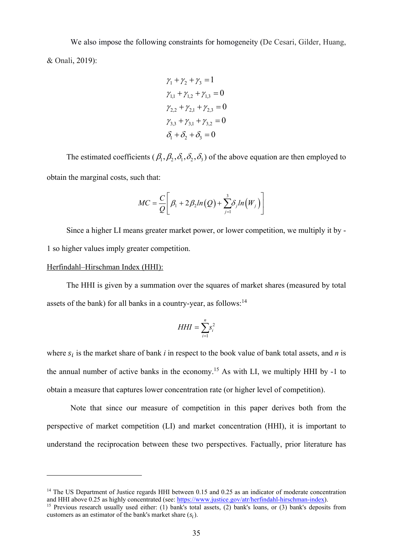We also impose the following constraints for homogeneity (De Cesari, Gilder, Huang, & Onali, 2019):

$$
\gamma_1 + \gamma_2 + \gamma_3 = 1
$$
  
\n
$$
\gamma_{1,1} + \gamma_{1,2} + \gamma_{1,3} = 0
$$
  
\n
$$
\gamma_{2,2} + \gamma_{2,1} + \gamma_{2,3} = 0
$$
  
\n
$$
\gamma_{3,3} + \gamma_{3,1} + \gamma_{3,2} = 0
$$
  
\n
$$
\delta_1 + \delta_2 + \delta_3 = 0
$$

The estimated coefficients ( $\beta_1, \beta_2, \delta_3, \delta_4$ ) of the above equation are then employed to obtain the marginal costs, such that:

$$
MC = \frac{C}{Q} \bigg[ \beta_1 + 2\beta_2 ln(Q) + \sum_{j=1}^3 \delta_j ln(W_j) \bigg]
$$

Since a higher LI means greater market power, or lower competition, we multiply it by - 1 so higher values imply greater competition.

#### Herfindahl–Hirschman Index (HHI):

The HHI is given by a summation over the squares of market shares (measured by total assets of the bank) for all banks in a country-year, as follows:<sup>14</sup>

$$
HHI = \sum_{i=1}^{n} s_i^2
$$

where  $s_i$  is the market share of bank *i* in respect to the book value of bank total assets, and *n* is the annual number of active banks in the economy.<sup>15</sup> As with LI, we multiply HHI by  $-1$  to obtain a measure that captures lower concentration rate (or higher level of competition).

 Note that since our measure of competition in this paper derives both from the perspective of market competition (LI) and market concentration (HHI), it is important to understand the reciprocation between these two perspectives. Factually, prior literature has

<sup>&</sup>lt;sup>14</sup> The US Department of Justice regards HHI between 0.15 and 0.25 as an indicator of moderate concentration and HHI above 0.25 as highly concentrated (see: https://www.justice.gov/atr/herfindahl-hirschman-index). <sup>15</sup> Previous research usually used either: (1) bank's total assets, (2) bank's loans, or (3) bank's deposits from customers as an estimator of the bank's market share  $(s_i)$ .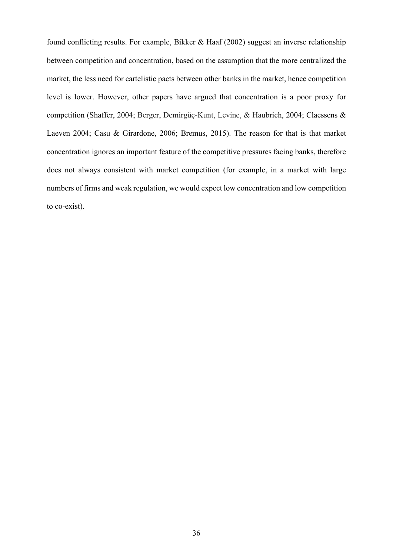found conflicting results. For example, Bikker & Haaf (2002) suggest an inverse relationship between competition and concentration, based on the assumption that the more centralized the market, the less need for cartelistic pacts between other banks in the market, hence competition level is lower. However, other papers have argued that concentration is a poor proxy for competition (Shaffer, 2004; Berger, Demirgüç-Kunt, Levine, & Haubrich, 2004; Claessens & Laeven 2004; Casu & Girardone, 2006; Bremus, 2015). The reason for that is that market concentration ignores an important feature of the competitive pressures facing banks, therefore does not always consistent with market competition (for example, in a market with large numbers of firms and weak regulation, we would expect low concentration and low competition to co-exist).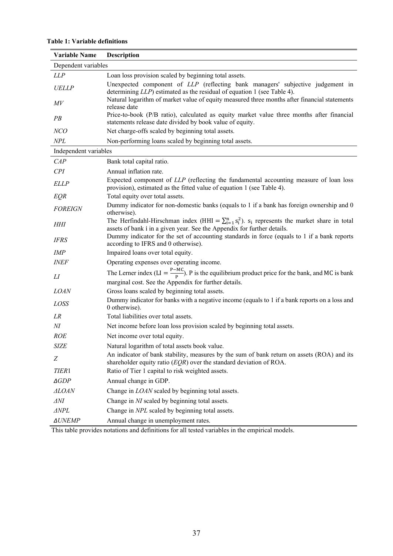## **Table 1: Variable definitions**

| <b>Variable Name</b>  | <b>Description</b>                                                                                                                                                                    |
|-----------------------|---------------------------------------------------------------------------------------------------------------------------------------------------------------------------------------|
| Dependent variables   |                                                                                                                                                                                       |
| <i>LLP</i>            | Loan loss provision scaled by beginning total assets.                                                                                                                                 |
| UELLP                 | Unexpected component of LLP (reflecting bank managers' subjective judgement in<br>determining $LLP$ ) estimated as the residual of equation 1 (see Table 4).                          |
| M V                   | Natural logarithm of market value of equity measured three months after financial statements<br>release date                                                                          |
| PB                    | Price-to-book (P/B ratio), calculated as equity market value three months after financial<br>statements release date divided by book value of equity.                                 |
| NCO                   | Net charge-offs scaled by beginning total assets.                                                                                                                                     |
| NPL                   | Non-performing loans scaled by beginning total assets.                                                                                                                                |
| Independent variables |                                                                                                                                                                                       |
| CAP                   | Bank total capital ratio.                                                                                                                                                             |
| CPI                   | Annual inflation rate.                                                                                                                                                                |
| <b>ELLP</b>           | Expected component of LLP (reflecting the fundamental accounting measure of loan loss<br>provision), estimated as the fitted value of equation 1 (see Table 4).                       |
| EQR                   | Total equity over total assets.                                                                                                                                                       |
| <b>FOREIGN</b>        | Dummy indicator for non-domestic banks (equals to 1 if a bank has foreign ownership and 0<br>otherwise).                                                                              |
| HHI                   | The Herfindahl-Hirschman index (HHI = $\sum_{i=1}^{n} s_i^2$ ). $s_i$ represents the market share in total<br>assets of bank i in a given year. See the Appendix for further details. |
| <b>IFRS</b>           | Dummy indicator for the set of accounting standards in force (equals to 1 if a bank reports<br>according to IFRS and 0 otherwise).                                                    |
| <b>IMP</b>            | Impaired loans over total equity.                                                                                                                                                     |
| <b>INEF</b>           | Operating expenses over operating income.                                                                                                                                             |
| LI                    | The Lerner index (LI = $\frac{P-MC}{P}$ ). P is the equilibrium product price for the bank, and MC is bank<br>marginal cost. See the Appendix for further details.                    |
| <b>LOAN</b>           | Gross loans scaled by beginning total assets.                                                                                                                                         |
| LOSS                  | Dummy indicator for banks with a negative income (equals to 1 if a bank reports on a loss and<br>0 otherwise).                                                                        |
| LR                    | Total liabilities over total assets.                                                                                                                                                  |
| NI                    | Net income before loan loss provision scaled by beginning total assets.                                                                                                               |
| <b>ROE</b>            | Net income over total equity.                                                                                                                                                         |
| SIZE                  | Natural logarithm of total assets book value.                                                                                                                                         |
| Ζ                     | An indicator of bank stability, measures by the sum of bank return on assets (ROA) and its<br>shareholder equity ratio $(EQR)$ over the standard deviation of ROA.                    |
| <b>TIER1</b>          | Ratio of Tier 1 capital to risk weighted assets.                                                                                                                                      |
| $\triangle GDP$       | Annual change in GDP.                                                                                                                                                                 |
| <b>ALOAN</b>          | Change in LOAN scaled by beginning total assets.                                                                                                                                      |
| $\Delta NI$           | Change in NI scaled by beginning total assets.                                                                                                                                        |
| $\triangle NPL$       | Change in NPL scaled by beginning total assets.                                                                                                                                       |
| ∆UNEMP                | Annual change in unemployment rates.                                                                                                                                                  |

This table provides notations and definitions for all tested variables in the empirical models.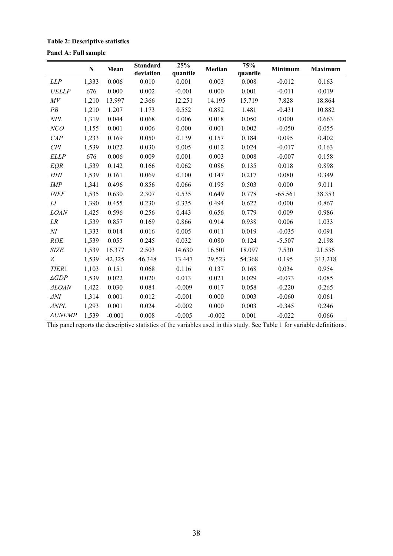## **Table 2: Descriptive statistics**

## **Panel A: Full sample**

|                 | ${\bf N}$ | Mean     | <b>Standard</b><br>deviation | 25%<br>quantile | Median   | 75%<br>quantile | Minimum   | <b>Maximum</b> |
|-----------------|-----------|----------|------------------------------|-----------------|----------|-----------------|-----------|----------------|
| <b>LLP</b>      | 1,333     | 0.006    | 0.010                        | 0.001           | 0.003    | 0.008           | $-0.012$  | 0.163          |
| <b>UELLP</b>    | 676       | 0.000    | 0.002                        | $-0.001$        | 0.000    | 0.001           | $-0.011$  | 0.019          |
| M V             | 1,210     | 13.997   | 2.366                        | 12.251          | 14.195   | 15.719          | 7.828     | 18.864         |
| PB              | 1,210     | 1.207    | 1.173                        | 0.552           | 0.882    | 1.481           | $-0.431$  | 10.882         |
| NPL             | 1,319     | 0.044    | 0.068                        | 0.006           | 0.018    | 0.050           | 0.000     | 0.663          |
| NCO             | 1,155     | 0.001    | 0.006                        | 0.000           | 0.001    | 0.002           | $-0.050$  | 0.055          |
| CAP             | 1,233     | 0.169    | 0.050                        | 0.139           | 0.157    | 0.184           | 0.095     | 0.402          |
| CPI             | 1,539     | 0.022    | 0.030                        | 0.005           | 0.012    | 0.024           | $-0.017$  | 0.163          |
| <b>ELLP</b>     | 676       | 0.006    | 0.009                        | 0.001           | 0.003    | 0.008           | $-0.007$  | 0.158          |
| <b>EQR</b>      | 1,539     | 0.142    | 0.166                        | 0.062           | 0.086    | 0.135           | 0.018     | 0.898          |
| HHI             | 1,539     | 0.161    | 0.069                        | 0.100           | 0.147    | 0.217           | 0.080     | 0.349          |
| IMP             | 1,341     | 0.496    | 0.856                        | 0.066           | 0.195    | 0.503           | 0.000     | 9.011          |
| <b>INEF</b>     | 1,535     | 0.630    | 2.307                        | 0.535           | 0.649    | 0.778           | $-65.561$ | 38.353         |
| LI              | 1,390     | 0.455    | 0.230                        | 0.335           | 0.494    | 0.622           | 0.000     | 0.867          |
| <b>LOAN</b>     | 1,425     | 0.596    | 0.256                        | 0.443           | 0.656    | 0.779           | 0.009     | 0.986          |
| LR              | 1,539     | 0.857    | 0.169                        | 0.866           | 0.914    | 0.938           | 0.006     | 1.033          |
| $\cal NI$       | 1,333     | 0.014    | 0.016                        | 0.005           | 0.011    | 0.019           | $-0.035$  | 0.091          |
| <b>ROE</b>      | 1,539     | 0.055    | 0.245                        | 0.032           | 0.080    | 0.124           | $-5.507$  | 2.198          |
| <b>SIZE</b>     | 1,539     | 16.377   | 2.503                        | 14.630          | 16.501   | 18.097          | 7.530     | 21.536         |
| Z               | 1,539     | 42.325   | 46.348                       | 13.447          | 29.523   | 54.368          | 0.195     | 313.218        |
| <b>TIER1</b>    | 1,103     | 0.151    | 0.068                        | 0.116           | 0.137    | 0.168           | 0.034     | 0.954          |
| $\triangle GDP$ | 1,539     | 0.022    | 0.020                        | 0.013           | 0.021    | 0.029           | $-0.073$  | 0.085          |
| <b>ALOAN</b>    | 1,422     | 0.030    | 0.084                        | $-0.009$        | 0.017    | 0.058           | $-0.220$  | 0.265          |
| $\Delta N I$    | 1,314     | 0.001    | 0.012                        | $-0.001$        | 0.000    | 0.003           | $-0.060$  | 0.061          |
| $\triangle NPL$ | 1,293     | 0.001    | 0.024                        | $-0.002$        | 0.000    | 0.003           | $-0.345$  | 0.246          |
| ∆UNEMP          | 1,539     | $-0.001$ | 0.008                        | $-0.005$        | $-0.002$ | 0.001           | $-0.022$  | 0.066          |

This panel reports the descriptive statistics of the variables used in this study. See Table 1 for variable definitions.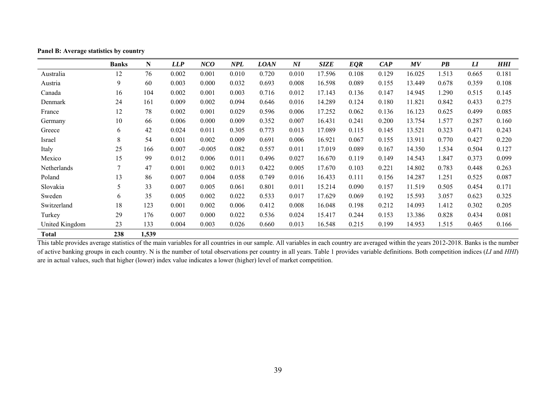|                | <b>Banks</b> | N     | LLP   | NCO      | <b>NPL</b> | <b>LOAN</b> | $\boldsymbol{N}\boldsymbol{I}$ | <b>SIZE</b> | <b>EQR</b> | CAP   | MV     | $\overline{PB}$ | $\bm{L}$ | <b>HHI</b> |
|----------------|--------------|-------|-------|----------|------------|-------------|--------------------------------|-------------|------------|-------|--------|-----------------|----------|------------|
| Australia      | 12           | 76    | 0.002 | 0.001    | 0.010      | 0.720       | 0.010                          | 17.596      | 0.108      | 0.129 | 16.025 | 1.513           | 0.665    | 0.181      |
| Austria        | 9            | 60    | 0.003 | 0.000    | 0.032      | 0.693       | 0.008                          | 16.598      | 0.089      | 0.155 | 13.449 | 0.678           | 0.359    | 0.108      |
| Canada         | 16           | 104   | 0.002 | 0.001    | 0.003      | 0.716       | 0.012                          | 17.143      | 0.136      | 0.147 | 14.945 | 1.290           | 0.515    | 0.145      |
| Denmark        | 24           | 161   | 0.009 | 0.002    | 0.094      | 0.646       | 0.016                          | 14.289      | 0.124      | 0.180 | 11.821 | 0.842           | 0.433    | 0.275      |
| France         | 12           | 78    | 0.002 | 0.001    | 0.029      | 0.596       | 0.006                          | 17.252      | 0.062      | 0.136 | 16.123 | 0.625           | 0.499    | 0.085      |
| Germany        | 10           | 66    | 0.006 | 0.000    | 0.009      | 0.352       | 0.007                          | 16.431      | 0.241      | 0.200 | 13.754 | 1.577           | 0.287    | 0.160      |
| Greece         | 6            | 42    | 0.024 | 0.011    | 0.305      | 0.773       | 0.013                          | 17.089      | 0.115      | 0.145 | 13.521 | 0.323           | 0.471    | 0.243      |
| Israel         | $\,8\,$      | 54    | 0.001 | 0.002    | 0.009      | 0.691       | 0.006                          | 16.921      | 0.067      | 0.155 | 13.911 | 0.770           | 0.427    | 0.220      |
| Italy          | 25           | 166   | 0.007 | $-0.005$ | 0.082      | 0.557       | 0.011                          | 17.019      | 0.089      | 0.167 | 14.350 | 1.534           | 0.504    | 0.127      |
| Mexico         | 15           | 99    | 0.012 | 0.006    | 0.011      | 0.496       | 0.027                          | 16.670      | 0.119      | 0.149 | 14.543 | 1.847           | 0.373    | 0.099      |
| Netherlands    | 7            | 47    | 0.001 | 0.002    | 0.013      | 0.422       | 0.005                          | 17.670      | 0.103      | 0.221 | 14.802 | 0.783           | 0.448    | 0.263      |
| Poland         | 13           | 86    | 0.007 | 0.004    | 0.058      | 0.749       | 0.016                          | 16.433      | 0.111      | 0.156 | 14.287 | 1.251           | 0.525    | 0.087      |
| Slovakia       | 5            | 33    | 0.007 | 0.005    | 0.061      | 0.801       | 0.011                          | 15.214      | 0.090      | 0.157 | 11.519 | 0.505           | 0.454    | 0.171      |
| Sweden         | 6            | 35    | 0.005 | 0.002    | 0.022      | 0.533       | 0.017                          | 17.629      | 0.069      | 0.192 | 15.593 | 3.057           | 0.623    | 0.325      |
| Switzerland    | 18           | 123   | 0.001 | 0.002    | 0.006      | 0.412       | 0.008                          | 16.048      | 0.198      | 0.212 | 14.093 | 1.412           | 0.302    | 0.205      |
| Turkey         | 29           | 176   | 0.007 | 0.000    | 0.022      | 0.536       | 0.024                          | 15.417      | 0.244      | 0.153 | 13.386 | 0.828           | 0.434    | 0.081      |
| United Kingdom | 23           | 133   | 0.004 | 0.003    | 0.026      | 0.660       | 0.013                          | 16.548      | 0.215      | 0.199 | 14.953 | 1.515           | 0.465    | 0.166      |
| Total          | 238          | 1,539 |       |          |            |             |                                |             |            |       |        |                 |          |            |

**Panel B: Average statistics by country** 

This table provides average statistics of the main variables for all countries in our sample. All variables in each country are averaged within the years 2012-2018. Banks is the number of active banking groups in each country. N is the number of total observations per country in all years. Table 1 provides variable definitions. Both competition indices (*LI* and *HHI*) are in actual values, such that higher (lower) index value indicates a lower (higher) level of market competition.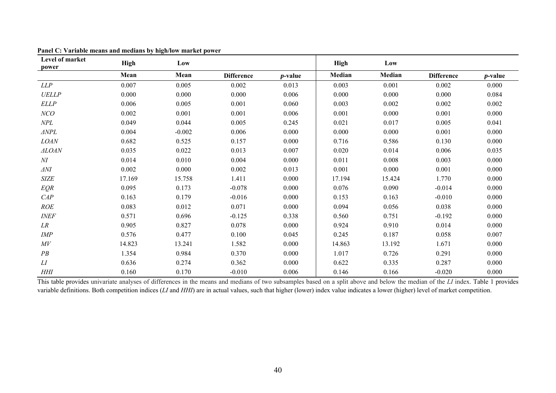| Level of market<br>power          | <b>High</b> | Low      |                   |            | High   | Low    |                   |            |
|-----------------------------------|-------------|----------|-------------------|------------|--------|--------|-------------------|------------|
|                                   | Mean        | Mean     | <b>Difference</b> | $p$ -value | Median | Median | <b>Difference</b> | $p$ -value |
| LLP                               | 0.007       | 0.005    | 0.002             | 0.013      | 0.003  | 0.001  | 0.002             | 0.000      |
| <b>UELLP</b>                      | 0.000       | 0.000    | 0.000             | 0.006      | 0.000  | 0.000  | 0.000             | 0.084      |
| <b>ELLP</b>                       | 0.006       | 0.005    | 0.001             | 0.060      | 0.003  | 0.002  | 0.002             | 0.002      |
| NCO                               | 0.002       | 0.001    | 0.001             | 0.006      | 0.001  | 0.000  | 0.001             | 0.000      |
| NPL                               | 0.049       | 0.044    | 0.005             | 0.245      | 0.021  | 0.017  | 0.005             | 0.041      |
| $\ensuremath{\mathit{\Delta}NPL}$ | 0.004       | $-0.002$ | 0.006             | 0.000      | 0.000  | 0.000  | 0.001             | 0.000      |
| <b>LOAN</b>                       | 0.682       | 0.525    | 0.157             | 0.000      | 0.716  | 0.586  | 0.130             | 0.000      |
| <b>ALOAN</b>                      | 0.035       | 0.022    | 0.013             | 0.007      | 0.020  | 0.014  | 0.006             | 0.035      |
| M                                 | 0.014       | 0.010    | 0.004             | 0.000      | 0.011  | 0.008  | 0.003             | 0.000      |
| $\Delta NI$                       | 0.002       | 0.000    | 0.002             | 0.013      | 0.001  | 0.000  | 0.001             | 0.000      |
| <b>SIZE</b>                       | 17.169      | 15.758   | 1.411             | 0.000      | 17.194 | 15.424 | 1.770             | 0.000      |
| <b>EQR</b>                        | 0.095       | 0.173    | $-0.078$          | 0.000      | 0.076  | 0.090  | $-0.014$          | 0.000      |
| CAP                               | 0.163       | 0.179    | $-0.016$          | 0.000      | 0.153  | 0.163  | $-0.010$          | 0.000      |
| <b>ROE</b>                        | 0.083       | 0.012    | 0.071             | 0.000      | 0.094  | 0.056  | 0.038             | 0.000      |
| <b>INEF</b>                       | 0.571       | 0.696    | $-0.125$          | 0.338      | 0.560  | 0.751  | $-0.192$          | 0.000      |
| LR                                | 0.905       | 0.827    | 0.078             | 0.000      | 0.924  | 0.910  | 0.014             | 0.000      |
| <b>IMP</b>                        | 0.576       | 0.477    | 0.100             | 0.045      | 0.245  | 0.187  | 0.058             | 0.007      |
| ${\cal M}{\cal V}$                | 14.823      | 13.241   | 1.582             | 0.000      | 14.863 | 13.192 | 1.671             | 0.000      |
| PB                                | 1.354       | 0.984    | 0.370             | 0.000      | 1.017  | 0.726  | 0.291             | 0.000      |
| LI                                | 0.636       | 0.274    | 0.362             | 0.000      | 0.622  | 0.335  | 0.287             | 0.000      |
| <b>HHI</b>                        | 0.160       | 0.170    | $-0.010$          | 0.006      | 0.146  | 0.166  | $-0.020$          | 0.000      |

**Panel C: Variable means and medians by high/low market power** 

This table provides univariate analyses of differences in the means and medians of two subsamples based on a split above and below the median of the *LI* index. Table 1 provides variable definitions. Both competition indices (*LI* and *HHI*) are in actual values, such that higher (lower) index value indicates a lower (higher) level of market competition.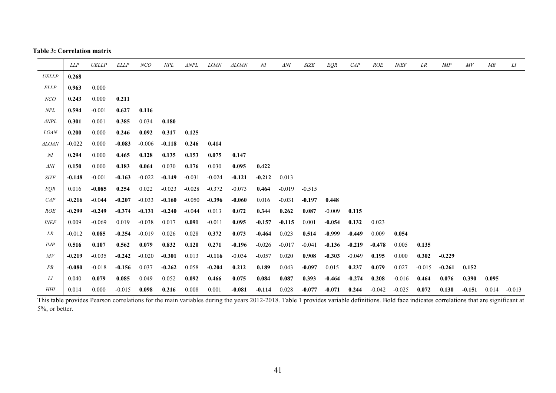#### **Table 3: Correlation matrix**

|                 | <b>LLP</b> | <b>UELLP</b> | <b>ELLP</b> | NCO      | NPL      | $\triangle NPL$ | <b>LOAN</b> | <b>ALOAN</b> | NI       | $\Delta NI$ | <b>SIZE</b> | EQR      | CAP      | <b>ROE</b> | <b>INEF</b> | LR       | <b>IMP</b> | M V      | MB    | LI       |
|-----------------|------------|--------------|-------------|----------|----------|-----------------|-------------|--------------|----------|-------------|-------------|----------|----------|------------|-------------|----------|------------|----------|-------|----------|
| <b>UELLP</b>    | 0.268      |              |             |          |          |                 |             |              |          |             |             |          |          |            |             |          |            |          |       |          |
| <b>ELLP</b>     | 0.963      | 0.000        |             |          |          |                 |             |              |          |             |             |          |          |            |             |          |            |          |       |          |
| NCO             | 0.243      | 0.000        | 0.211       |          |          |                 |             |              |          |             |             |          |          |            |             |          |            |          |       |          |
| NPL             | 0.594      | $-0.001$     | 0.627       | 0.116    |          |                 |             |              |          |             |             |          |          |            |             |          |            |          |       |          |
| $\triangle NPL$ | 0.301      | 0.001        | 0.385       | 0.034    | 0.180    |                 |             |              |          |             |             |          |          |            |             |          |            |          |       |          |
| <b>LOAN</b>     | 0.200      | 0.000        | 0.246       | 0.092    | 0.317    | 0.125           |             |              |          |             |             |          |          |            |             |          |            |          |       |          |
| <b>ALOAN</b>    | $-0.022$   | 0.000        | $-0.083$    | $-0.006$ | $-0.118$ | 0.246           | 0.414       |              |          |             |             |          |          |            |             |          |            |          |       |          |
| $\overline{M}$  | 0.294      | 0.000        | 0.465       | 0.128    | 0.135    | 0.153           | 0.075       | 0.147        |          |             |             |          |          |            |             |          |            |          |       |          |
| $\Delta NI$     | 0.150      | 0.000        | 0.183       | 0.064    | 0.030    | 0.176           | 0.030       | 0.095        | 0.422    |             |             |          |          |            |             |          |            |          |       |          |
| <b>SIZE</b>     | $-0.148$   | $-0.001$     | $-0.163$    | $-0.022$ | $-0.149$ | $-0.031$        | $-0.024$    | $-0.121$     | $-0.212$ | 0.013       |             |          |          |            |             |          |            |          |       |          |
| EOR             | 0.016      | $-0.085$     | 0.254       | 0.022    | $-0.023$ | $-0.028$        | $-0.372$    | $-0.073$     | 0.464    | $-0.019$    | $-0.515$    |          |          |            |             |          |            |          |       |          |
| CAP             | $-0.216$   | $-0.044$     | $-0.207$    | $-0.033$ | $-0.160$ | $-0.050$        | $-0.396$    | $-0.060$     | 0.016    | $-0.031$    | $-0.197$    | 0.448    |          |            |             |          |            |          |       |          |
| <b>ROE</b>      | $-0.299$   | $-0.249$     | $-0.374$    | $-0.131$ | $-0.240$ | $-0.044$        | 0.013       | 0.072        | 0.344    | 0.262       | 0.087       | $-0.009$ | 0.115    |            |             |          |            |          |       |          |
| <b>INEF</b>     | 0.009      | $-0.069$     | 0.019       | $-0.038$ | 0.017    | 0.091           | $-0.011$    | 0.095        | $-0.157$ | $-0.115$    | 0.001       | $-0.054$ | 0.132    | 0.023      |             |          |            |          |       |          |
| LR              | $-0.012$   | 0.085        | $-0.254$    | $-0.019$ | 0.026    | 0.028           | 0.372       | 0.073        | $-0.464$ | 0.023       | 0.514       | $-0.999$ | $-0.449$ | 0.009      | 0.054       |          |            |          |       |          |
| <b>IMP</b>      | 0.516      | 0.107        | 0.562       | 0.079    | 0.832    | 0.120           | 0.271       | $-0.196$     | $-0.026$ | $-0.017$    | $-0.041$    | $-0.136$ | $-0.219$ | $-0.478$   | 0.005       | 0.135    |            |          |       |          |
| M V             | $-0.219$   | $-0.035$     | $-0.242$    | $-0.020$ | $-0.301$ | 0.013           | $-0.116$    | $-0.034$     | $-0.057$ | 0.020       | 0.908       | $-0.303$ | $-0.049$ | 0.195      | 0.000       | 0.302    | $-0.229$   |          |       |          |
| PB              | $-0.080$   | $-0.018$     | $-0.156$    | 0.037    | $-0.262$ | 0.058           | $-0.204$    | 0.212        | 0.189    | 0.043       | $-0.097$    | 0.015    | 0.237    | 0.079      | 0.027       | $-0.015$ | $-0.261$   | 0.152    |       |          |
| LI              | 0.040      | 0.079        | 0.085       | 0.049    | 0.052    | 0.092           | 0.466       | 0.075        | 0.084    | 0.087       | 0.393       | $-0.464$ | $-0.274$ | 0.208      | $-0.016$    | 0.464    | 0.076      | 0.390    | 0.095 |          |
| <b>HHI</b>      | 0.014      | 0.000        | $-0.015$    | 0.098    | 0.216    | 0.008           | 0.001       | $-0.081$     | $-0.114$ | 0.028       | $-0.077$    | $-0.071$ | 0.244    | $-0.042$   | $-0.025$    | 0.072    | 0.130      | $-0.151$ | 0.014 | $-0.013$ |

This table provides Pearson correlations for the main variables during the years 2012-2018. Table 1 provides variable definitions. Bold face indicates correlations that are significant at 5%, or better.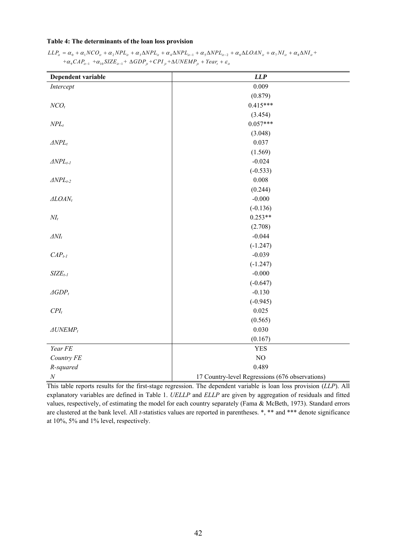#### **Table 4: The determinants of the loan loss provision**

| Dependent variable           | LLP                                             |
|------------------------------|-------------------------------------------------|
| Intercept                    | 0.009                                           |
|                              | (0.879)                                         |
| $NCO_t$                      | $0.415***$                                      |
|                              | (3.454)                                         |
| $NPL_t$                      | $0.057***$                                      |
|                              | (3.048)                                         |
| $\triangle NPL_t$            | 0.037                                           |
|                              | (1.569)                                         |
| $\triangle NPL_{t-1}$        | $-0.024$                                        |
|                              | $(-0.533)$                                      |
| $\triangle NPL_{t-2}$        | 0.008                                           |
|                              | (0.244)                                         |
| $\triangle LOAN_t$           | $-0.000$                                        |
|                              | $(-0.136)$                                      |
| $NI_t$                       | $0.253**$                                       |
|                              | (2.708)                                         |
| $\Delta NI_t$                | $-0.044$                                        |
|                              | $(-1.247)$                                      |
| $CAPt-1$                     | $-0.039$                                        |
|                              | $(-1.247)$                                      |
| $SIZEt-1$                    | $-0.000$                                        |
|                              | $(-0.647)$                                      |
| $\triangle$ GDP <sub>t</sub> | $-0.130$                                        |
|                              | $(-0.945)$                                      |
| $CPI_t$                      | 0.025                                           |
|                              | (0.565)                                         |
| $\triangle UNEMP_t$          | 0.030                                           |
|                              | (0.167)                                         |
| Year FE                      | <b>YES</b>                                      |
| Country FE                   | $\rm NO$                                        |
| R-squared                    | 0.489                                           |
| $\cal N$                     | 17 Country-level Regressions (676 observations) |

 $LLP_{ii} = \alpha_0 + \alpha_1 NCO_{ii} + \alpha_2 NPL_{ii} + \alpha_3 \Delta NPL_{ii} + \alpha_4 \Delta NPL_{ii-1} + \alpha_5 \Delta NPL_{ii-2} + \alpha_6 \Delta LOAN_{ii} + \alpha_7 NI_{ii} + \alpha_8 \Delta NI_{ii} + \alpha_9 \Delta IN_{ii} + \alpha_9 \Delta IN_{ii} + \alpha_9 \Delta IN_{ii} + \alpha_9 \Delta IN_{ii} + \alpha_9 \Delta IN_{ii} + \alpha_9 \Delta IN_{ii} + \alpha_9 \Delta IN_{ii} + \alpha_9 \Delta IN_{ii} + \alpha_9 \Delta IN_{ii} + \alpha_9 \Delta IN_{ii} + \alpha_9 \Delta IN$  $+\alpha_9 CAP_{it-1} + \alpha_{10} SIZE_{it-1} + \Delta GDP_{it} + CPI_{it} + \Delta UNEMP_{it} + Year_t + \varepsilon_{it}$ 

This table reports results for the first-stage regression. The dependent variable is loan loss provision (*LLP*). All explanatory variables are defined in Table 1. *UELLP* and *ELLP* are given by aggregation of residuals and fitted values, respectively, of estimating the model for each country separately (Fama & McBeth, 1973). Standard errors are clustered at the bank level. All *t-*statistics values are reported in parentheses. \*, \*\* and \*\*\* denote significance at 10%, 5% and 1% level, respectively.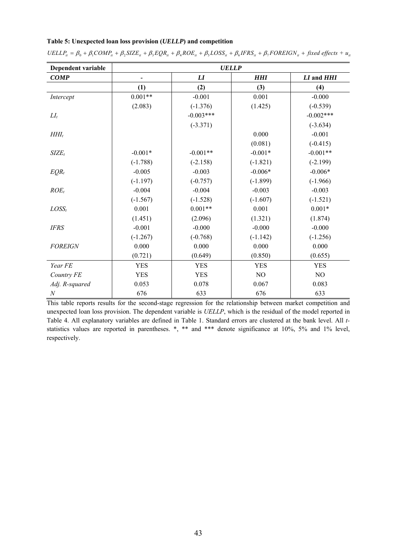#### **Table 5: Unexpected loan loss provision (***UELLP***) and competition**

| Dependent variable |            | <b>UELLP</b>               |                |             |
|--------------------|------------|----------------------------|----------------|-------------|
| <b>COMP</b>        | -          | $\boldsymbol{\mathit{LI}}$ | <b>HHI</b>     | LI and HHI  |
|                    | (1)        | (2)                        | (3)            | (4)         |
| Intercept          | $0.001**$  | $-0.001$                   | 0.001          | $-0.000$    |
|                    | (2.083)    | $(-1.376)$                 | (1.425)        | $(-0.539)$  |
| $LI_t$             |            | $-0.003***$                |                | $-0.002***$ |
|                    |            | $(-3.371)$                 |                | $(-3.634)$  |
| $HHI_t$            |            |                            | 0.000          | $-0.001$    |
|                    |            |                            | (0.081)        | $(-0.415)$  |
| $SIZE_t$           | $-0.001*$  | $-0.001**$                 | $-0.001*$      | $-0.001**$  |
|                    | $(-1.788)$ | $(-2.158)$                 | $(-1.821)$     | $(-2.199)$  |
| $EQR_t$            | $-0.005$   | $-0.003$                   | $-0.006*$      | $-0.006*$   |
|                    | $(-1.197)$ | $(-0.757)$                 | $(-1.899)$     | $(-1.966)$  |
| $ROE_t$            | $-0.004$   | $-0.004$                   | $-0.003$       | $-0.003$    |
|                    | $(-1.567)$ | $(-1.528)$                 | $(-1.607)$     | $(-1.521)$  |
| $LOSS_t$           | 0.001      | $0.001**$                  | 0.001          | $0.001*$    |
|                    | (1.451)    | (2.096)                    | (1.321)        | (1.874)     |
| <b>IFRS</b>        | $-0.001$   | $-0.000$                   | $-0.000$       | $-0.000$    |
|                    | $(-1.267)$ | $(-0.768)$                 | $(-1.142)$     | $(-1.256)$  |
| <b>FOREIGN</b>     | 0.000      | 0.000                      | 0.000          | 0.000       |
|                    | (0.721)    | (0.649)                    | (0.850)        | (0.655)     |
| Year FE            | <b>YES</b> | <b>YES</b>                 | <b>YES</b>     | <b>YES</b>  |
| Country FE         | <b>YES</b> | <b>YES</b>                 | N <sub>O</sub> | NO          |
| Adj. R-squared     | 0.053      | 0.078                      | 0.067          | 0.083       |
| $\boldsymbol{N}$   | 676        | 633                        | 676            | 633         |

 $UELLP<sub>u</sub> = \beta_0 + \beta_1 COMP_u + \beta_2 SIZE_u + \beta_3 EQR_u + \beta_4 ROE_u + \beta_5 LOS_u + \beta_6 IFRS_u + \beta_7 FOREIGN_u + fixed\ effects + u_u$ 

This table reports results for the second-stage regression for the relationship between market competition and unexpected loan loss provision. The dependent variable is *UELLP*, which is the residual of the model reported in Table 4. All explanatory variables are defined in Table 1. Standard errors are clustered at the bank level. All *t*statistics values are reported in parentheses. \*, \*\* and \*\*\* denote significance at 10%, 5% and 1% level, respectively.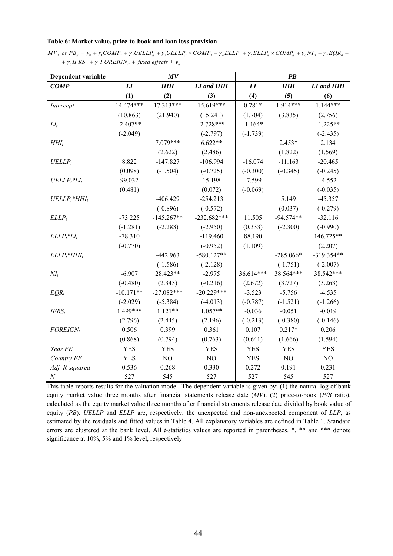#### **Table 6: Market value, price-to-book and loan loss provision**

 $MV_{it}$  or  $PB_{it} = \gamma_0 + \gamma_1 COMP_{it} + \gamma_2 UELLP_{it} + \gamma_3 UELLP_{it} \times COMP_{it} + \gamma_4 ELLP_{it} + \gamma_5 ELLP_{it} \times COMP_{it} + \gamma_6 NI_{it} + \gamma_7 EQR_{it} + \gamma_8 NI_{it}$  $+ \gamma_8 IFRS_{it} + \gamma_9 FOREIGN_{it} + fixed\ effects + v_{it}$ 

| Dependent variable             |             | MV           |               |            | $\overline{PB}$ |                          |
|--------------------------------|-------------|--------------|---------------|------------|-----------------|--------------------------|
| <b>COMP</b>                    | L1          | <b>HHI</b>   | LI and HHI    | LI         | <b>HHI</b>      | <b>LI</b> and <b>HHI</b> |
|                                | (1)         | (2)          | (3)           | (4)        | (5)             | (6)                      |
| Intercept                      | 14.474***   | $17.313***$  | $15.619***$   | $0.781*$   | $1.914***$      | $1.144***$               |
|                                | (10.863)    | (21.940)     | (15.241)      | (1.704)    | (3.835)         | (2.756)                  |
| $LI_t$                         | $-2.407**$  |              | $-2.728***$   | $-1.164*$  |                 | $-1.225**$               |
|                                | $(-2.049)$  |              | $(-2.797)$    | $(-1.739)$ |                 | $(-2.435)$               |
| $HHI_t$                        |             | 7.079***     | $6.622**$     |            | $2.453*$        | 2.134                    |
|                                |             | (2.622)      | (2.486)       |            | (1.822)         | (1.569)                  |
| $UELLP_t$                      | 8.822       | $-147.827$   | $-106.994$    | $-16.074$  | $-11.163$       | $-20.465$                |
|                                | (0.098)     | $(-1.504)$   | $(-0.725)$    | $(-0.300)$ | $(-0.345)$      | $(-0.245)$               |
| $UELLP_t$ <sup>*</sup> $LI_t$  | 99.032      |              | 15.198        | $-7.599$   |                 | $-4.552$                 |
|                                | (0.481)     |              | (0.072)       | $(-0.069)$ |                 | $(-0.035)$               |
| $UELLP_t$ <sup>*</sup> $HHI_t$ |             | $-406.429$   | $-254.213$    |            | 5.149           | $-45.357$                |
|                                |             | $(-0.896)$   | $(-0.572)$    |            | (0.037)         | $(-0.279)$               |
| $ELLP_t$                       | $-73.225$   | $-145.267**$ | $-232.682***$ | 11.505     | $-94.574**$     | $-32.116$                |
|                                | $(-1.281)$  | $(-2.283)$   | $(-2.950)$    | (0.333)    | $(-2.300)$      | $(-0.990)$               |
| $ELLP_t^*LI_t$                 | $-78.310$   |              | $-119.460$    | 88.190     |                 | 146.725**                |
|                                | $(-0.770)$  |              | $(-0.952)$    | (1.109)    |                 | (2.207)                  |
| $ELLP_t$ *HHIt                 |             | $-442.963$   | $-580.127**$  |            | $-285.066*$     | $-319.354**$             |
|                                |             | $(-1.586)$   | $(-2.128)$    |            | $(-1.751)$      | $(-2.007)$               |
| $NI_t$                         | $-6.907$    | 28.423**     | $-2.975$      | 36.614***  | 38.564***       | 38.542***                |
|                                | $(-0.480)$  | (2.343)      | $(-0.216)$    | (2.672)    | (3.727)         | (3.263)                  |
| $EQR_t$                        | $-10.171**$ | $-27.082***$ | $-20.229***$  | $-3.523$   | $-5.756$        | $-4.535$                 |
|                                | $(-2.029)$  | $(-5.384)$   | $(-4.013)$    | $(-0.787)$ | $(-1.521)$      | $(-1.266)$               |
| $IFRS_t$                       | 1.499***    | $1.121**$    | $1.057**$     | $-0.036$   | $-0.051$        | $-0.019$                 |
|                                | (2.796)     | (2.445)      | (2.196)       | $(-0.213)$ | $(-0.380)$      | $(-0.146)$               |
| <b>FOREIGNt</b>                | 0.506       | 0.399        | 0.361         | 0.107      | $0.217*$        | 0.206                    |
|                                | (0.868)     | (0.794)      | (0.763)       | (0.641)    | (1.666)         | (1.594)                  |
| Year FE                        | <b>YES</b>  | <b>YES</b>   | <b>YES</b>    | <b>YES</b> | <b>YES</b>      | <b>YES</b>               |
| Country FE                     | <b>YES</b>  | NO           | NO            | <b>YES</b> | NO              | NO                       |
| Adj. R-squared                 | 0.536       | 0.268        | 0.330         | 0.272      | 0.191           | 0.231                    |
| $\boldsymbol{N}$               | 527         | 545          | 527           | 527        | 545             | 527                      |

This table reports results for the valuation model. The dependent variable is given by: (1) the natural log of bank equity market value three months after financial statements release date (*MV*). (2) price-to-book (*P/B* ratio), calculated as the equity market value three months after financial statements release date divided by book value of equity (*PB*). *UELLP* and *ELLP* are, respectively, the unexpected and non-unexpected component of *LLP*, as estimated by the residuals and fitted values in Table 4. All explanatory variables are defined in Table 1. Standard errors are clustered at the bank level. All *t-*statistics values are reported in parentheses. \*, \*\* and \*\*\* denote significance at 10%, 5% and 1% level, respectively.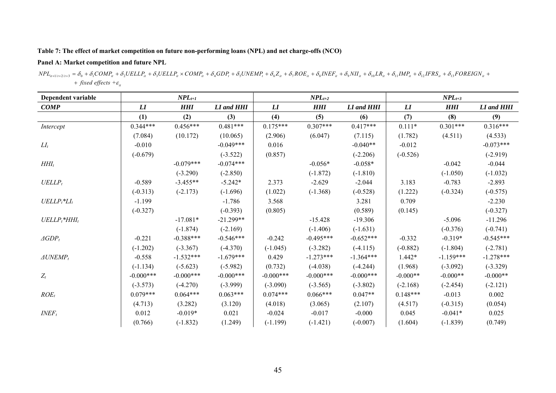## **Table 7: The effect of market competition on future non-performing loans (NPL) and net charge-offs (NCO)**

## **Panel A: Market competition and future NPL**

| $NPL_{u+1/1+2/1+3} = \delta_0 + \delta_1 COMP_u + \delta_2 UELLP_u + \delta_3 UELLP_u \times COMP_u + \delta_4 GDP_t + \delta_5 UNEMP_t + \delta_6 Z_u + \delta_7 ROE_u + \delta_8 INEF_u + \delta_9 NIu_t + \delta_{10} LR_u + \delta_{12} IFRS_u + \delta_{13} FOREIGN_u + \delta_{14} INPL_{10}$ |  |  |  |
|-----------------------------------------------------------------------------------------------------------------------------------------------------------------------------------------------------------------------------------------------------------------------------------------------------|--|--|--|
| $+$ fixed effects $+ \varepsilon_{ii}$                                                                                                                                                                                                                                                              |  |  |  |

| Dependent variable             |              | $NPL_{t+1}$ |              |             | $NPL_{t+2}$ |                          |            | $NPL_{t+3}$ |             |
|--------------------------------|--------------|-------------|--------------|-------------|-------------|--------------------------|------------|-------------|-------------|
| <b>COMP</b>                    | L I          | <b>HHI</b>  | LI and HHI   | L I         | <b>HHI</b>  | <b>LI</b> and <b>HHI</b> | L I        | <b>HHI</b>  | LI and HHI  |
|                                | (1)          | (2)         | (3)          | (4)         | (5)         | (6)                      | (7)        | (8)         | (9)         |
| Intercept                      | $0.344***$   | $0.456***$  | $0.481***$   | $0.175***$  | $0.307***$  | $0.417***$               | $0.111*$   | $0.301***$  | $0.316***$  |
|                                | (7.084)      | (10.172)    | (10.065)     | (2.906)     | (6.047)     | (7.115)                  | (1.782)    | (4.511)     | (4.533)     |
| $LI_t$                         | $-0.010$     |             | $-0.049***$  | 0.016       |             | $-0.040**$               | $-0.012$   |             | $-0.073***$ |
|                                | $(-0.679)$   |             | $(-3.522)$   | (0.857)     |             | $(-2.206)$               | $(-0.526)$ |             | $(-2.919)$  |
| $HHI_t$                        |              | $-0.079***$ | $-0.074***$  |             | $-0.056*$   | $-0.058*$                |            | $-0.042$    | $-0.044$    |
|                                |              | $(-3.290)$  | $(-2.850)$   |             | $(-1.872)$  | $(-1.810)$               |            | $(-1.050)$  | $(-1.032)$  |
| $UELLP_t$                      | $-0.589$     | $-3.455**$  | $-5.242*$    | 2.373       | $-2.629$    | $-2.044$                 | 3.183      | $-0.783$    | $-2.893$    |
|                                | $(-0.313)$   | $(-2.173)$  | $(-1.696)$   | (1.022)     | $(-1.368)$  | $(-0.528)$               | (1.222)    | $(-0.324)$  | $(-0.575)$  |
| $UELLP_t^*LI_t$                | $-1.199$     |             | $-1.786$     | 3.568       |             | 3.281                    | 0.709      |             | $-2.230$    |
|                                | $(-0.327)$   |             | $(-0.393)$   | (0.805)     |             | (0.589)                  | (0.145)    |             | $(-0.327)$  |
| $UELLP_t$ <sup>*</sup> $HHI_t$ |              | $-17.081*$  | $-21.299**$  |             | $-15.428$   | $-19.306$                |            | $-5.096$    | $-11.296$   |
|                                |              | $(-1.874)$  | $(-2.169)$   |             | $(-1.406)$  | $(-1.631)$               |            | $(-0.376)$  | $(-0.741)$  |
| $\triangle$ GDP <sub>t</sub>   | $-0.221$     | $-0.388***$ | $-0.546***$  | $-0.242$    | $-0.495***$ | $-0.652***$              | $-0.332$   | $-0.319*$   | $-0.545***$ |
|                                | $(-1.202)$   | $(-3.367)$  | $(-4.370)$   | $(-1.045)$  | $(-3.282)$  | $(-4.115)$               | $(-0.882)$ | $(-1.804)$  | $(-2.781)$  |
| $\triangle UNEMP_t$            | $-0.558$     | $-1.532***$ | $-1.679***$  | 0.429       | $-1.273***$ | $-1.364***$              | $1.442*$   | $-1.159***$ | $-1.278***$ |
|                                | $(-1.134)$   | $(-5.623)$  | $(-5.982)$   | (0.732)     | $(-4.038)$  | $(-4.244)$               | (1.968)    | $(-3.092)$  | $(-3.329)$  |
| $Z_t$                          | $-0.000$ *** | $-0.000***$ | $-0.000$ *** | $-0.000***$ | $-0.000***$ | $-0.000***$              | $-0.000**$ | $-0.000**$  | $-0.000**$  |
|                                | $(-3.573)$   | $(-4.270)$  | $(-3.999)$   | $(-3.090)$  | $(-3.565)$  | $(-3.802)$               | $(-2.168)$ | $(-2.454)$  | $(-2.121)$  |
| $ROE_t$                        | $0.079***$   | $0.064***$  | $0.063***$   | $0.074***$  | $0.066***$  | $0.047**$                | $0.148***$ | $-0.013$    | 0.002       |
|                                | (4.713)      | (3.282)     | (3.120)      | (4.018)     | (3.065)     | (2.107)                  | (4.517)    | $(-0.315)$  | (0.054)     |
| $INEF_t$                       | 0.012        | $-0.019*$   | 0.021        | $-0.024$    | $-0.017$    | $-0.000$                 | 0.045      | $-0.041*$   | 0.025       |
|                                | (0.766)      | $(-1.832)$  | (1.249)      | $(-1.199)$  | $(-1.421)$  | $(-0.007)$               | (1.604)    | $(-1.839)$  | (0.749)     |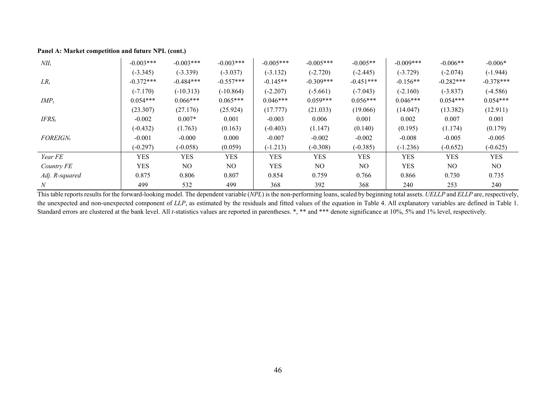| $NII_t$        | $-0.003***$ | $-0.003***$ | $-0.003***$    | $-0.005***$ | $-0.005***$ | $-0.005**$     | $-0.009***$ | $-0.006**$  | $-0.006*$   |
|----------------|-------------|-------------|----------------|-------------|-------------|----------------|-------------|-------------|-------------|
|                | $(-3.345)$  | $(-3.339)$  | $(-3.037)$     | $(-3.132)$  | $(-2.720)$  | $(-2.445)$     | $(-3.729)$  | $(-2.074)$  | $(-1.944)$  |
| $LR_t$         | $-0.372***$ | $-0.484***$ | $-0.557***$    | $-0.145**$  | $-0.309***$ | $-0.451***$    | $-0.156**$  | $-0.282***$ | $-0.378***$ |
|                | $(-7.170)$  | $(-10.313)$ | $(-10.864)$    | $(-2.207)$  | $(-5.661)$  | $(-7.043)$     | $(-2.160)$  | $(-3.837)$  | $(-4.586)$  |
| $IMP_t$        | $0.054***$  | $0.066***$  | $0.065***$     | $0.046***$  | $0.059***$  | $0.056***$     | $0.046***$  | $0.054***$  | $0.054***$  |
|                | (23.307)    | (27.176)    | (25.924)       | (17.777)    | (21.033)    | (19.066)       | (14.047)    | (13.382)    | (12.911)    |
| $IFRS_t$       | $-0.002$    | $0.007*$    | 0.001          | $-0.003$    | 0.006       | 0.001          | 0.002       | 0.007       | 0.001       |
|                | $(-0.432)$  | (1.763)     | (0.163)        | $(-0.403)$  | (1.147)     | (0.140)        | (0.195)     | (1.174)     | (0.179)     |
| $FOREIGN_t$    | $-0.001$    | $-0.000$    | 0.000          | $-0.007$    | $-0.002$    | $-0.002$       | $-0.008$    | $-0.005$    | $-0.005$    |
|                | $(-0.297)$  | $(-0.058)$  | (0.059)        | $(-1.213)$  | $(-0.308)$  | $(-0.385)$     | $(-1.236)$  | $(-0.652)$  | $(-0.625)$  |
| Year FE        | <b>YES</b>  | YES         | <b>YES</b>     | <b>YES</b>  | <b>YES</b>  | <b>YES</b>     | <b>YES</b>  | <b>YES</b>  | <b>YES</b>  |
| Country FE     | <b>YES</b>  | NO.         | N <sub>O</sub> | <b>YES</b>  | NO.         | N <sub>O</sub> | <b>YES</b>  | NO.         | NO          |
| Adj. R-squared | 0.875       | 0.806       | 0.807          | 0.854       | 0.759       | 0.766          | 0.866       | 0.730       | 0.735       |
| N              | 499         | 532         | 499            | 368         | 392         | 368            | 240         | 253         | 240         |

#### **Panel A: Market competition and future NPL (cont.)**

This table reports results for the forward-looking model. The dependent variable (*NPL*) is the non-performing loans, scaled by beginning total assets. *UELLP* and *ELLP* are, respectively, the unexpected and non-unexpected component of *LLP*, as estimated by the residuals and fitted values of the equation in Table 4. All explanatory variables are defined in Table 1. Standard errors are clustered at the bank level. All *t*-statistics values are reported in parentheses. \*, \*\* and \*\*\* denote significance at 10%, 5% and 1% level, respectively.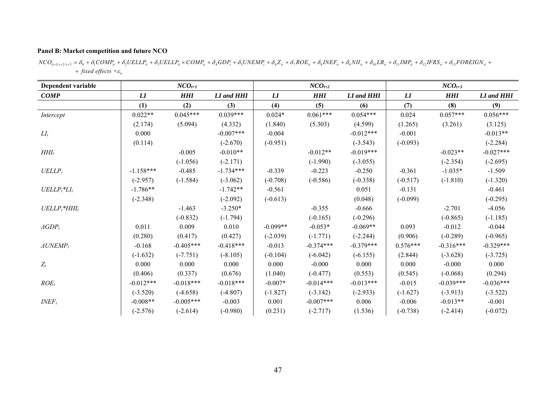#### **Panel B: Market competition and future NCO**

 $NCO_{_{ll+1/t+2/t+3}}=\delta_{_0}+\delta_{_1}COMP_{_{ll}}+\delta_{_2} UELLP_{_{ll}}+\delta_{_3} UELLP_{_{ll}} \times COMP_{_{ll}}+\delta_{_4} GDP_{_7}+\delta_{_5} UNEMP_{r}+\delta_{_6} Z_{_{ll}}+\delta_{_7} ROE_{_{ll}}+\delta_{_8} INEF_{_{ll}}+\delta_{_9} NIH_{_{ll}}+\delta_{_{11}} IMP_{_{ll}}+\delta_{_{12}}IFRS_{_{ll}}+\delta_{_{13}} FOREIGN_{_{ll}}+\delta_{_{13}} IERS_{_{11}}+\delta_{_{14}} IERS_{_{12}}+\delta_{_{15}} IERS_{_{16}}+\delta_{$ *+ fixed effects +* $\varepsilon$ *<sub>it</sub>* 

| Dependent variable             |                                | $NCO_{t+1}$ |             |            | $NCO_{t+2}$ |                          |            | $NCO_{t+3}$ |             |
|--------------------------------|--------------------------------|-------------|-------------|------------|-------------|--------------------------|------------|-------------|-------------|
| <b>COMP</b>                    | $\boldsymbol{L}\boldsymbol{I}$ | <b>HHI</b>  | LI and HHI  | L I        | <b>HHI</b>  | <b>LI</b> and <b>HHI</b> | L I        | <b>HHI</b>  | LI and HHI  |
|                                | (1)                            | (2)         | (3)         | (4)        | (5)         | (6)                      | (7)        | (8)         | (9)         |
| Intercept                      | $0.022**$                      | $0.045***$  | $0.039***$  | $0.024*$   | $0.061***$  | $0.054***$               | 0.024      | $0.057***$  | $0.056***$  |
|                                | (2.174)                        | (5.094)     | (4.332)     | (1.840)    | (5.303)     | (4.599)                  | (1.265)    | (3.261)     | (3.125)     |
| $LI_t$                         | 0.000                          |             | $-0.007***$ | $-0.004$   |             | $-0.012***$              | $-0.001$   |             | $-0.013**$  |
|                                | (0.114)                        |             | $(-2.670)$  | $(-0.951)$ |             | $(-3.543)$               | $(-0.093)$ |             | $(-2.284)$  |
| $HHI_t$                        |                                | $-0.005$    | $-0.010**$  |            | $-0.012**$  | $-0.019***$              |            | $-0.023**$  | $-0.027***$ |
|                                |                                | $(-1.056)$  | $(-2.171)$  |            | $(-1.990)$  | $(-3.055)$               |            | $(-2.354)$  | $(-2.695)$  |
| $UELLP_t$                      | $-1.158***$                    | $-0.485$    | $-1.734***$ | $-0.339$   | $-0.223$    | $-0.250$                 | $-0.361$   | $-1.035*$   | $-1.509$    |
|                                | $(-2.957)$                     | $(-1.584)$  | $(-3.062)$  | $(-0.708)$ | $(-0.586)$  | $(-0.338)$               | $(-0.517)$ | $(-1.810)$  | $(-1.320)$  |
| $UELLP_t$ <sup>*</sup> $LI_t$  | $-1.786**$                     |             | $-1.742**$  | $-0.561$   |             | 0.051                    | $-0.131$   |             | $-0.461$    |
|                                | $(-2.348)$                     |             | $(-2.092)$  | $(-0.613)$ |             | (0.048)                  | $(-0.099)$ |             | $(-0.295)$  |
| $UELLP_t$ <sup>*</sup> $HHI_t$ |                                | $-1.463$    | $-3.250*$   |            | $-0.355$    | $-0.666$                 |            | $-2.701$    | $-4.056$    |
|                                |                                | $(-0.832)$  | $(-1.794)$  |            | $(-0.165)$  | $(-0.296)$               |            | $(-0.865)$  | $(-1.185)$  |
| $\triangle$ GDP <sub>t</sub>   | 0.011                          | 0.009       | 0.010       | $-0.099**$ | $-0.053*$   | $-0.069**$               | 0.093      | $-0.012$    | $-0.044$    |
|                                | (0.280)                        | (0.417)     | (0.427)     | $(-2.039)$ | $(-1.771)$  | $(-2.244)$               | (0.906)    | $(-0.289)$  | $(-0.965)$  |
| $\triangle UNEMP_t$            | $-0.168$                       | $-0.405***$ | $-0.418***$ | $-0.013$   | $-0.374***$ | $-0.379***$              | $0.576***$ | $-0.316***$ | $-0.329***$ |
|                                | $(-1.632)$                     | $(-7.751)$  | $(-8.105)$  | $(-0.104)$ | $(-6.042)$  | $(-6.155)$               | (2.844)    | $(-3.628)$  | $(-3.725)$  |
| $Z_t$                          | 0.000                          | 0.000       | 0.000       | 0.000      | $-0.000$    | 0.000                    | 0.000      | $-0.000$    | 0.000       |
|                                | (0.406)                        | (0.337)     | (0.676)     | (1.040)    | $(-0.477)$  | (0.553)                  | (0.545)    | $(-0.068)$  | (0.294)     |
| $ROE_t$                        | $-0.012***$                    | $-0.018***$ | $-0.018***$ | $-0.007*$  | $-0.014***$ | $-0.013***$              | $-0.015$   | $-0.039***$ | $-0.036***$ |
|                                | $(-3.520)$                     | $(-4.658)$  | $(-4.807)$  | $(-1.827)$ | $(-3.142)$  | $(-2.933)$               | $(-1.627)$ | $(-3.913)$  | $(-3.522)$  |
| $INEF_t$                       | $-0.008**$                     | $-0.005***$ | $-0.003$    | 0.001      | $-0.007***$ | 0.006                    | $-0.006$   | $-0.013**$  | $-0.001$    |
|                                | $(-2.576)$                     | $(-2.614)$  | $(-0.980)$  | (0.231)    | $(-2.717)$  | (1.536)                  | $(-0.738)$ | $(-2.414)$  | $(-0.072)$  |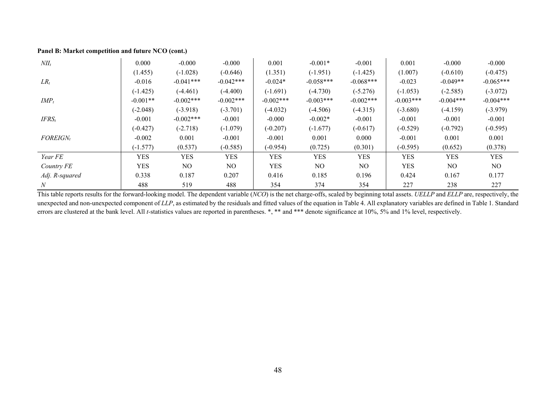#### **Panel B: Market competition and future NCO (cont.)**

| $NII_t$        | 0.000      | $-0.000$     | $-0.000$    | 0.001       | $-0.001*$   | $-0.001$       | 0.001       | $-0.000$       | $-0.000$    |
|----------------|------------|--------------|-------------|-------------|-------------|----------------|-------------|----------------|-------------|
|                | (1.455)    | $(-1.028)$   | $(-0.646)$  | (1.351)     | $(-1.951)$  | $(-1.425)$     | (1.007)     | $(-0.610)$     | $(-0.475)$  |
| $LR_t$         | $-0.016$   | $-0.041***$  | $-0.042***$ | $-0.024*$   | $-0.058***$ | $-0.068***$    | $-0.023$    | $-0.049**$     | $-0.065***$ |
|                | $(-1.425)$ | $(-4.461)$   | $(-4.400)$  | $(-1.691)$  | $(-4.730)$  | $(-5.276)$     | $(-1.053)$  | $(-2.585)$     | $(-3.072)$  |
| $IMP_t$        | $-0.001**$ | $-0.002$ *** | $-0.002***$ | $-0.002***$ | $-0.003***$ | $-0.002$ ***   | $-0.003***$ | $-0.004***$    | $-0.004***$ |
|                | $(-2.048)$ | $(-3.918)$   | $(-3.701)$  | $(-4.032)$  | $(-4.506)$  | $(-4.315)$     | $(-3.680)$  | $(-4.159)$     | $(-3.979)$  |
| $IFRS_t$       | $-0.001$   | $-0.002$ *** | $-0.001$    | $-0.000$    | $-0.002*$   | $-0.001$       | $-0.001$    | $-0.001$       | $-0.001$    |
|                | $(-0.427)$ | $(-2.718)$   | $(-1.079)$  | $(-0.207)$  | $(-1.677)$  | $(-0.617)$     | $(-0.529)$  | $(-0.792)$     | $(-0.595)$  |
| $FOREIGN_t$    | $-0.002$   | 0.001        | $-0.001$    | $-0.001$    | 0.001       | 0.000          | $-0.001$    | 0.001          | 0.001       |
|                | $(-1.577)$ | (0.537)      | $(-0.585)$  | $(-0.954)$  | (0.725)     | (0.301)        | $(-0.595)$  | (0.652)        | (0.378)     |
| Year FE        | <b>YES</b> | <b>YES</b>   | YES         | <b>YES</b>  | <b>YES</b>  | <b>YES</b>     | <b>YES</b>  | YES            | <b>YES</b>  |
| Country FE     | <b>YES</b> | NO.          | NO.         | <b>YES</b>  | NO.         | N <sub>O</sub> | <b>YES</b>  | N <sub>O</sub> | NO          |
| Adj. R-squared | 0.338      | 0.187        | 0.207       | 0.416       | 0.185       | 0.196          | 0.424       | 0.167          | 0.177       |
| N              | 488        | 519          | 488         | 354         | 374         | 354            | 227         | 238            | 227         |

This table reports results for the forward-looking model. The dependent variable (*NCO*) is the net charge-offs, scaled by beginning total assets. *UELLP* and *ELLP* are, respectively, the unexpected and non-unexpected component of *LLP*, as estimated by the residuals and fitted values of the equation in Table 4. All explanatory variables are defined in Table 1. Standard errors are clustered at the bank level. All *t*-statistics values are reported in parentheses. \*, \*\* and \*\*\* denote significance at 10%, 5% and 1% level, respectively.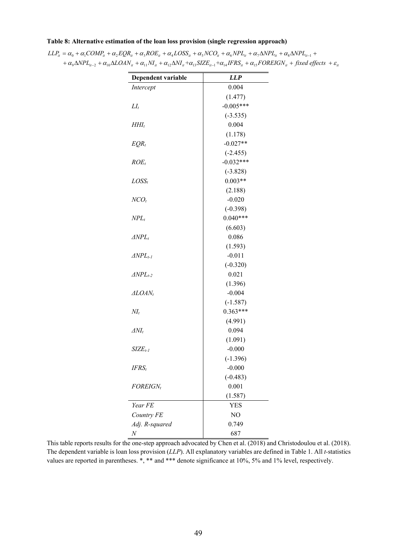#### **Table 8: Alternative estimation of the loan loss provision (single regression approach)**

| Dependent variable    | <b>LLP</b>  |
|-----------------------|-------------|
| Intercept             | 0.004       |
|                       | (1.477)     |
| $LI_t$                | $-0.005***$ |
|                       | $(-3.535)$  |
| $HHI_t$               | 0.004       |
|                       | (1.178)     |
| $EQR_t$               | $-0.027**$  |
|                       | $(-2.455)$  |
| $ROE_t$               | $-0.032***$ |
|                       | $(-3.828)$  |
| $LOSS_t$              | $0.003**$   |
|                       | (2.188)     |
| $NCO_t$               | $-0.020$    |
|                       | $(-0.398)$  |
| $NPL_t$               | $0.040***$  |
|                       | (6.603)     |
| $\triangle NPL_t$     | 0.086       |
|                       | (1.593)     |
| $\triangle NPL_{t-1}$ | $-0.011$    |
|                       | $(-0.320)$  |
| $\triangle NPL_{t-2}$ | 0.021       |
|                       | (1.396)     |
| ALOAN <sub>t</sub>    | $-0.004$    |
|                       | $(-1.587)$  |
| $NI_t$                | $0.363***$  |
|                       | (4.991)     |
| $\Delta NI_t$         | 0.094       |
|                       | (1.091)     |
| $SIZEt-1$             | $-0.000$    |
|                       | $(-1.396)$  |
| $IFRS_t$              | $-0.000$    |
|                       | $(-0.483)$  |
| <b>FOREIGN</b>        | 0.001       |
|                       | (1.587)     |
| Year FE               | YES         |
| Country FE            | NO          |
| Adj. R-squared        | 0.749       |
| $\boldsymbol{N}$      | 687         |

 $LLP_{it} = \alpha_0 + \alpha_1 COMP_{it} + \alpha_2 EQR_{it} + \alpha_3 ROE_{it} + \alpha_4 LOSS_{it} + \alpha_5 NCO_{it} + \alpha_6 NPL_{it} + \alpha_7 \Delta NPL_{it} + \alpha_8 \Delta NPL_{it-1} + \alpha_9 \Delta NPL_{it} + \alpha_9 \Delta NPL_{it}$  $+ \alpha_9 \Delta NPL_{it-2} + \alpha_{10} \Delta LOAN_{it} + \alpha_{11}NI_{it} + \alpha_{12} \Delta NI_{it} + \alpha_{13} SIZE_{it-1} + \alpha_{14} IFRS_{it} + \alpha_{15} FOREIGN_{it} + fixed\ effects + \varepsilon_{it}$ 

This table reports results for the one-step approach advocated by Chen et al. (2018) and Christodoulou et al. (2018). The dependent variable is loan loss provision (*LLP*). All explanatory variables are defined in Table 1. All *t-*statistics values are reported in parentheses. \*, \*\* and \*\*\* denote significance at 10%, 5% and 1% level, respectively.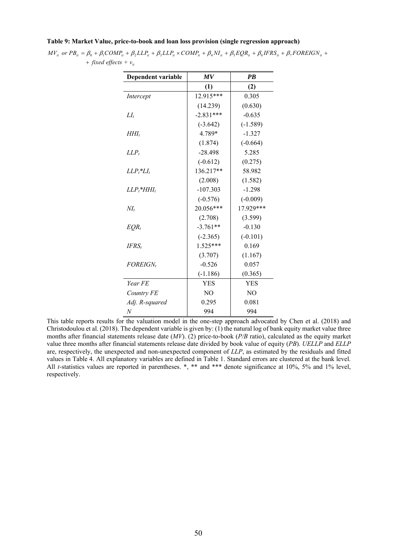#### **Table 9: Market Value, price-to-book and loan loss provision (single regression approach)**

| $MV_{\mu}$ or $PB_{\mu} = \beta_0 + \beta_1 COMP_{\mu} + \beta_2 LLP_{\mu} + \beta_3 LLP_{\mu} \times COMP_{\mu} + \beta_4 NI_{\mu} + \beta_5 EQR_{\mu} + \beta_6 IFRS_{\mu} + \beta_7 FOREIGN_{\mu} + \beta_6 IFRS_{\mu} + \beta_7 FOREIGN_{\mu} + \beta_8 FERS_{\mu} + \beta_9 FOREIGN_{\mu} + \beta_9 FOREIGN_{\mu} + \beta_9 FOREIGN_{\mu} + \beta_9 FOREIGN_{\mu} + \beta_9 FOREIGN_{\mu} + \beta_9 FOREIGN_{\mu} + \beta_9 FORE$ |  |  |
|----------------------------------------------------------------------------------------------------------------------------------------------------------------------------------------------------------------------------------------------------------------------------------------------------------------------------------------------------------------------------------------------------------------------------------------|--|--|
| $+$ fixed effects $+$ $v_{ii}$                                                                                                                                                                                                                                                                                                                                                                                                         |  |  |

| Dependent variable        | MV          | $\overline{PB}$ |
|---------------------------|-------------|-----------------|
|                           | (1)         | (2)             |
| Intercept                 | 12.915***   | 0.305           |
|                           | (14.239)    | (0.630)         |
| $LI_t$                    | $-2.831***$ | $-0.635$        |
|                           | $(-3.642)$  | $(-1.589)$      |
| HHI,                      | 4.789*      | $-1.327$        |
|                           | (1.874)     | $(-0.664)$      |
| $LLP_t$                   | $-28.498$   | 5.285           |
|                           | $(-0.612)$  | (0.275)         |
| $LLP_t^*LI_t$             | 136.217**   | 58.982          |
|                           | (2.008)     | (1.582)         |
| $LLP_t$ *HHI <sub>t</sub> | $-107.303$  | $-1.298$        |
|                           | $(-0.576)$  | $(-0.009)$      |
| $M_t$                     | 20.056***   | 17.929***       |
|                           | (2.708)     | (3.599)         |
| $EQR_t$                   | $-3.761**$  | $-0.130$        |
|                           | $(-2.365)$  | $(-0.101)$      |
| $IFRS_t$                  | $1.525***$  | 0.169           |
|                           | (3.707)     | (1.167)         |
| <i>FOREIGN,</i>           | $-0.526$    | 0.057           |
|                           | $(-1.186)$  | (0.365)         |
| Year FE                   | <b>YES</b>  | <b>YES</b>      |
| Country FE                | NO          | N <sub>O</sub>  |
| Adj. R-squared            | 0.295       | 0.081           |
| N                         | 994         | 994             |

This table reports results for the valuation model in the one-step approach advocated by Chen et al. (2018) and Christodoulou et al. (2018). The dependent variable is given by: (1) the natural log of bank equity market value three months after financial statements release date (*MV*). (2) price-to-book (*P/B* ratio), calculated as the equity market value three months after financial statements release date divided by book value of equity (*PB*). *UELLP* and *ELLP* are, respectively, the unexpected and non-unexpected component of *LLP*, as estimated by the residuals and fitted values in Table 4. All explanatory variables are defined in Table 1. Standard errors are clustered at the bank level. All *t*-statistics values are reported in parentheses. \*, \*\* and \*\*\* denote significance at 10%, 5% and 1% level, respectively.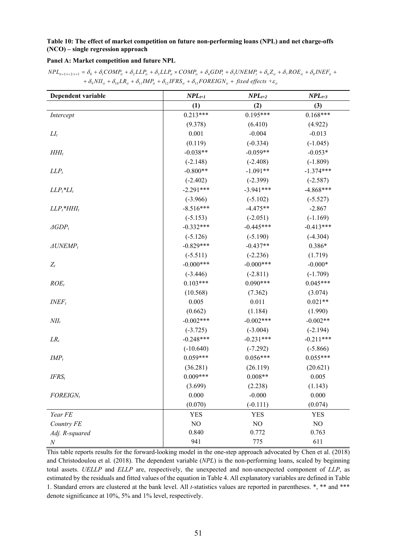#### **Table 10: The effect of market competition on future non-performing loans (NPL) and net charge-offs (NCO) – single regression approach**

#### **Panel A: Market competition and future NPL**

 $NPL_{u+l/t+2/t+3}=\delta_{0}+\delta_{1}COMP_{u}+\delta_{2}LLP_{u}+\delta_{3}LLP_{u}\times COMP_{u}+\delta_{4}GDP_{t}+\delta_{5}UNEMP_{t}+\delta_{6}Z_{u}+\delta_{7}ROE_{u}+\delta_{8}INEF_{u}+K_{2}P_{u}+\delta_{7}E_{u}+K_{3}P_{u}+\delta_{8}E_{u}$  $+ \delta_9 N I I_{ii} + \delta_{10} L R_{ii} + \delta_{11} I M P_{ii} + \delta_{12} I F R S_{ii} + \delta_{13} F O REIGN_{ii} + fixed$  effects  $+ \varepsilon_{ii}$ 

| Dependent variable           | $NPL_{t+1}$ | $NPL_{t+2}$ | $NPL_{t+3}$ |
|------------------------------|-------------|-------------|-------------|
|                              | (1)         | (2)         | (3)         |
| Intercept                    | $0.213***$  | $0.195***$  | $0.168***$  |
|                              | (9.378)     | (6.410)     | (4.922)     |
| $LI_t$                       | 0.001       | $-0.004$    | $-0.013$    |
|                              | (0.119)     | $(-0.334)$  | $(-1.045)$  |
| $HHI_t$                      | $-0.038**$  | $-0.059**$  | $-0.053*$   |
|                              | $(-2.148)$  | $(-2.408)$  | $(-1.809)$  |
| $LLP_t$                      | $-0.800**$  | $-1.091**$  | $-1.374***$ |
|                              | $(-2.402)$  | $(-2.399)$  | $(-2.587)$  |
| $LLP_t$ <sup>*</sup> $LI_t$  | $-2.291***$ | $-3.941***$ | $-4.868***$ |
|                              | $(-3.966)$  | $(-5.102)$  | $(-5.527)$  |
| $LLP_t$ *HHI <sub>t</sub>    | $-8.516***$ | $-4.475**$  | $-2.867$    |
|                              | $(-5.153)$  | $(-2.051)$  | $(-1.169)$  |
| $\triangle$ GDP <sub>t</sub> | $-0.332***$ | $-0.445***$ | $-0.413***$ |
|                              | $(-5.126)$  | $(-5.190)$  | $(-4.304)$  |
| $\triangle UNEMP_t$          | $-0.829***$ | $-0.437**$  | $0.386*$    |
|                              | $(-5.511)$  | $(-2.236)$  | (1.719)     |
| $Z_t$                        | $-0.000***$ | $-0.000***$ | $-0.000*$   |
|                              | $(-3.446)$  | $(-2.811)$  | $(-1.709)$  |
| $ROE_t$                      | $0.103***$  | $0.090***$  | $0.045***$  |
|                              | (10.568)    | (7.362)     | (3.074)     |
| $INEF_t$                     | 0.005       | 0.011       | $0.021**$   |
|                              | (0.662)     | (1.184)     | (1.990)     |
| $NII_t$                      | $-0.002***$ | $-0.002***$ | $-0.002**$  |
|                              | $(-3.725)$  | $(-3.004)$  | $(-2.194)$  |
| $LR_t$                       | $-0.248***$ | $-0.231***$ | $-0.211***$ |
|                              | $(-10.640)$ | $(-7.292)$  | $(-5.866)$  |
| $IMP_t$                      | $0.059***$  | $0.056***$  | $0.055***$  |
|                              | (36.281)    | (26.119)    | (20.621)    |
| $IFRS_t$                     | $0.009***$  | $0.008**$   | 0.005       |
|                              | (3.699)     | (2.238)     | (1.143)     |
| $FOREIGN_t$                  | 0.000       | $-0.000$    | 0.000       |
|                              | (0.070)     | $(-0.111)$  | (0.074)     |
| Year FE                      | <b>YES</b>  | <b>YES</b>  | <b>YES</b>  |
| Country FE                   | $\rm NO$    | NO          | $\rm NO$    |
| Adj. R-squared               | 0.840       | 0.772       | 0.763       |
| $\boldsymbol{N}$             | 941         | 775         | 611         |

This table reports results for the forward-looking model in the one-step approach advocated by Chen et al. (2018) and Christodoulou et al. (2018). The dependent variable (*NPL*) is the non-performing loans, scaled by beginning total assets. *UELLP* and *ELLP* are, respectively, the unexpected and non-unexpected component of *LLP*, as estimated by the residuals and fitted values of the equation in Table 4. All explanatory variables are defined in Table 1. Standard errors are clustered at the bank level. All *t-*statistics values are reported in parentheses. \*, \*\* and \*\*\* denote significance at 10%, 5% and 1% level, respectively.